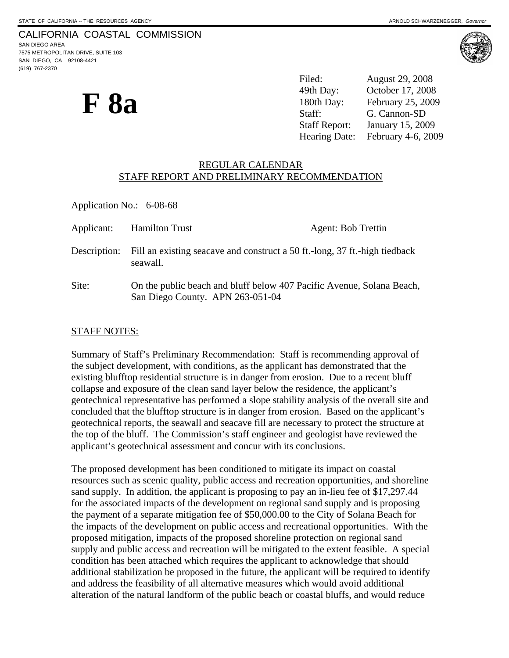# CALIFORNIA COASTAL COMMISSION

SAN DIEGO AREA 7575 METROPOLITAN DRIVE, SUITE 103 SAN DIEGO, CA 92108-4421 (619) 767-2370



**F 8a** 

Filed: August 29, 2008 49th Day: October 17, 2008 180th Day: February 25, 2009 Staff: G. Cannon-SD Staff Report: January 15, 2009 Hearing Date: February 4-6, 2009

#### REGULAR CALENDAR STAFF REPORT AND PRELIMINARY RECOMMENDATION

| Application No.: 6-08-68 |                                                                                                           |                    |
|--------------------------|-----------------------------------------------------------------------------------------------------------|--------------------|
| Applicant:               | <b>Hamilton Trust</b>                                                                                     | Agent: Bob Trettin |
| Description:             | Fill an existing seacave and construct a 50 ft.-long, 37 ft.-high tiedback<br>seawall.                    |                    |
| Site:                    | On the public beach and bluff below 407 Pacific Avenue, Solana Beach,<br>San Diego County. APN 263-051-04 |                    |

#### STAFF NOTES:

Summary of Staff's Preliminary Recommendation: Staff is recommending approval of the subject development, with conditions, as the applicant has demonstrated that the existing blufftop residential structure is in danger from erosion. Due to a recent bluff collapse and exposure of the clean sand layer below the residence, the applicant's geotechnical representative has performed a slope stability analysis of the overall site and concluded that the blufftop structure is in danger from erosion. Based on the applicant's geotechnical reports, the seawall and seacave fill are necessary to protect the structure at the top of the bluff. The Commission's staff engineer and geologist have reviewed the applicant's geotechnical assessment and concur with its conclusions.

The proposed development has been conditioned to mitigate its impact on coastal resources such as scenic quality, public access and recreation opportunities, and shoreline sand supply. In addition, the applicant is proposing to pay an in-lieu fee of \$17,297.44 for the associated impacts of the development on regional sand supply and is proposing the payment of a separate mitigation fee of \$50,000.00 to the City of Solana Beach for the impacts of the development on public access and recreational opportunities. With the proposed mitigation, impacts of the proposed shoreline protection on regional sand supply and public access and recreation will be mitigated to the extent feasible. A special condition has been attached which requires the applicant to acknowledge that should additional stabilization be proposed in the future, the applicant will be required to identify and address the feasibility of all alternative measures which would avoid additional alteration of the natural landform of the public beach or coastal bluffs, and would reduce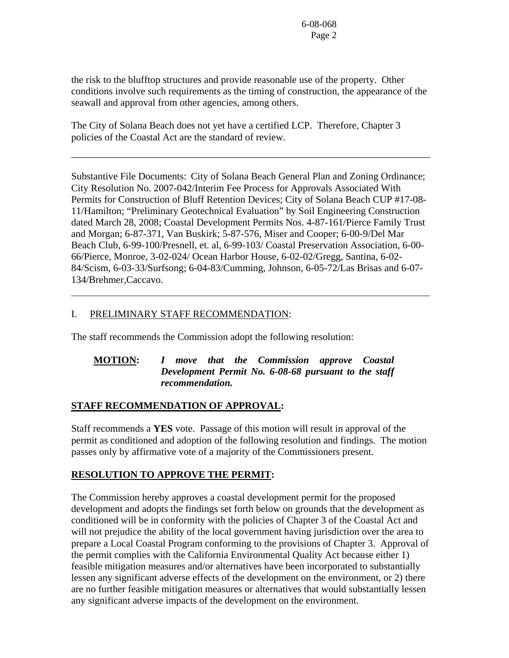the risk to the blufftop structures and provide reasonable use of the property. Other conditions involve such requirements as the timing of construction, the appearance of the seawall and approval from other agencies, among others.

\_\_\_\_\_\_\_\_\_\_\_\_\_\_\_\_\_\_\_\_\_\_\_\_\_\_\_\_\_\_\_\_\_\_\_\_\_\_\_\_\_\_\_\_\_\_\_\_\_\_\_\_\_\_\_\_\_\_\_\_\_\_\_\_\_\_\_\_\_\_\_\_

The City of Solana Beach does not yet have a certified LCP. Therefore, Chapter 3 policies of the Coastal Act are the standard of review.

Substantive File Documents: City of Solana Beach General Plan and Zoning Ordinance; City Resolution No. 2007-042/Interim Fee Process for Approvals Associated With Permits for Construction of Bluff Retention Devices; City of Solana Beach CUP #17-08- 11/Hamilton; "Preliminary Geotechnical Evaluation" by Soil Engineering Construction dated March 28, 2008; Coastal Development Permits Nos. 4-87-161/Pierce Family Trust and Morgan; 6-87-371, Van Buskirk; 5-87-576, Miser and Cooper; 6-00-9/Del Mar Beach Club, 6-99-100/Presnell, et. al, 6-99-103/ Coastal Preservation Association, 6-00- 66/Pierce, Monroe, 3-02-024/ Ocean Harbor House, 6-02-02/Gregg, Santina, 6-02- 84/Scism, 6-03-33/Surfsong; 6-04-83/Cumming, Johnson, 6-05-72/Las Brisas and 6-07- 134/Brehmer,Caccavo.

## I. PRELIMINARY STAFF RECOMMENDATION:

 $\overline{a}$ 

The staff recommends the Commission adopt the following resolution:

### **MOTION:** *I move that the Commission approve Coastal Development Permit No. 6-08-68 pursuant to the staff recommendation.*

### **STAFF RECOMMENDATION OF APPROVAL:**

Staff recommends a **YES** vote. Passage of this motion will result in approval of the permit as conditioned and adoption of the following resolution and findings. The motion passes only by affirmative vote of a majority of the Commissioners present.

# **RESOLUTION TO APPROVE THE PERMIT:**

The Commission hereby approves a coastal development permit for the proposed development and adopts the findings set forth below on grounds that the development as conditioned will be in conformity with the policies of Chapter 3 of the Coastal Act and will not prejudice the ability of the local government having jurisdiction over the area to prepare a Local Coastal Program conforming to the provisions of Chapter 3. Approval of the permit complies with the California Environmental Quality Act because either 1) feasible mitigation measures and/or alternatives have been incorporated to substantially lessen any significant adverse effects of the development on the environment, or 2) there are no further feasible mitigation measures or alternatives that would substantially lessen any significant adverse impacts of the development on the environment.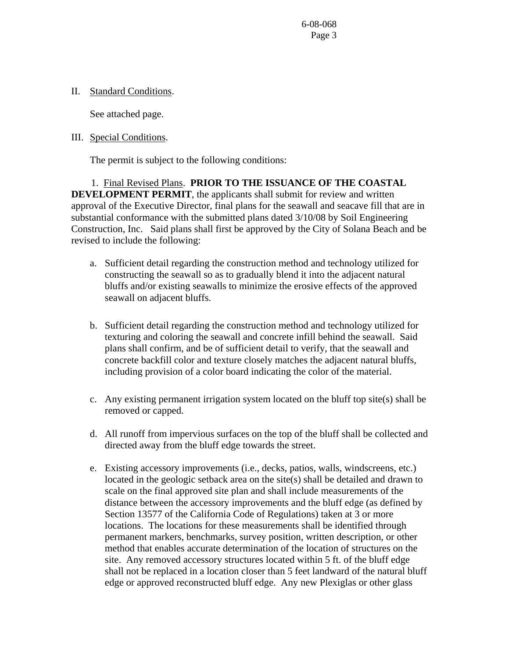II. Standard Conditions.

See attached page.

#### III. Special Conditions.

The permit is subject to the following conditions:

1. Final Revised Plans. **PRIOR TO THE ISSUANCE OF THE COASTAL DEVELOPMENT PERMIT**, the applicants shall submit for review and written approval of the Executive Director, final plans for the seawall and seacave fill that are in substantial conformance with the submitted plans dated 3/10/08 by Soil Engineering Construction, Inc. Said plans shall first be approved by the City of Solana Beach and be revised to include the following:

- a. Sufficient detail regarding the construction method and technology utilized for constructing the seawall so as to gradually blend it into the adjacent natural bluffs and/or existing seawalls to minimize the erosive effects of the approved seawall on adjacent bluffs.
- b. Sufficient detail regarding the construction method and technology utilized for texturing and coloring the seawall and concrete infill behind the seawall. Said plans shall confirm, and be of sufficient detail to verify, that the seawall and concrete backfill color and texture closely matches the adjacent natural bluffs, including provision of a color board indicating the color of the material.
- c. Any existing permanent irrigation system located on the bluff top site(s) shall be removed or capped.
- d. All runoff from impervious surfaces on the top of the bluff shall be collected and directed away from the bluff edge towards the street.
- e. Existing accessory improvements (i.e., decks, patios, walls, windscreens, etc.) located in the geologic setback area on the site(s) shall be detailed and drawn to scale on the final approved site plan and shall include measurements of the distance between the accessory improvements and the bluff edge (as defined by Section 13577 of the California Code of Regulations) taken at 3 or more locations. The locations for these measurements shall be identified through permanent markers, benchmarks, survey position, written description, or other method that enables accurate determination of the location of structures on the site. Any removed accessory structures located within 5 ft. of the bluff edge shall not be replaced in a location closer than 5 feet landward of the natural bluff edge or approved reconstructed bluff edge. Any new Plexiglas or other glass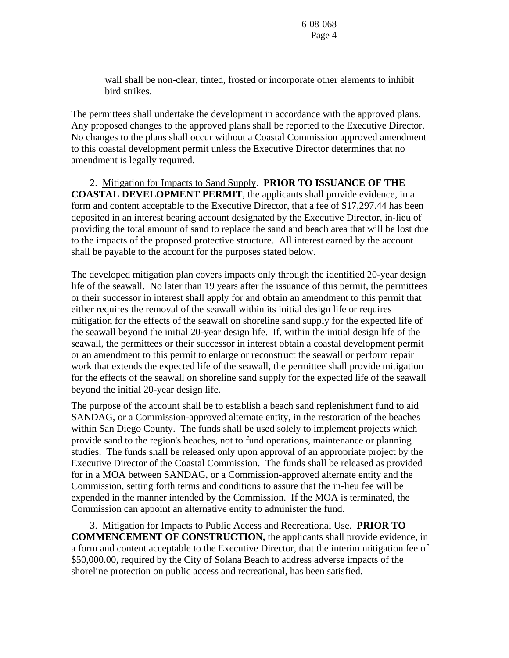wall shall be non-clear, tinted, frosted or incorporate other elements to inhibit bird strikes.

The permittees shall undertake the development in accordance with the approved plans. Any proposed changes to the approved plans shall be reported to the Executive Director. No changes to the plans shall occur without a Coastal Commission approved amendment to this coastal development permit unless the Executive Director determines that no amendment is legally required.

 2. Mitigation for Impacts to Sand Supply. **PRIOR TO ISSUANCE OF THE COASTAL DEVELOPMENT PERMIT**, the applicants shall provide evidence, in a form and content acceptable to the Executive Director, that a fee of \$17,297.44 has been deposited in an interest bearing account designated by the Executive Director, in-lieu of providing the total amount of sand to replace the sand and beach area that will be lost due to the impacts of the proposed protective structure. All interest earned by the account shall be payable to the account for the purposes stated below.

The developed mitigation plan covers impacts only through the identified 20-year design life of the seawall. No later than 19 years after the issuance of this permit, the permittees or their successor in interest shall apply for and obtain an amendment to this permit that either requires the removal of the seawall within its initial design life or requires mitigation for the effects of the seawall on shoreline sand supply for the expected life of the seawall beyond the initial 20-year design life. If, within the initial design life of the seawall, the permittees or their successor in interest obtain a coastal development permit or an amendment to this permit to enlarge or reconstruct the seawall or perform repair work that extends the expected life of the seawall, the permittee shall provide mitigation for the effects of the seawall on shoreline sand supply for the expected life of the seawall beyond the initial 20-year design life.

The purpose of the account shall be to establish a beach sand replenishment fund to aid SANDAG, or a Commission-approved alternate entity, in the restoration of the beaches within San Diego County. The funds shall be used solely to implement projects which provide sand to the region's beaches, not to fund operations, maintenance or planning studies. The funds shall be released only upon approval of an appropriate project by the Executive Director of the Coastal Commission. The funds shall be released as provided for in a MOA between SANDAG, or a Commission-approved alternate entity and the Commission, setting forth terms and conditions to assure that the in-lieu fee will be expended in the manner intended by the Commission. If the MOA is terminated, the Commission can appoint an alternative entity to administer the fund.

 3. Mitigation for Impacts to Public Access and Recreational Use. **PRIOR TO COMMENCEMENT OF CONSTRUCTION,** the applicants shall provide evidence, in a form and content acceptable to the Executive Director, that the interim mitigation fee of \$50,000.00, required by the City of Solana Beach to address adverse impacts of the shoreline protection on public access and recreational, has been satisfied.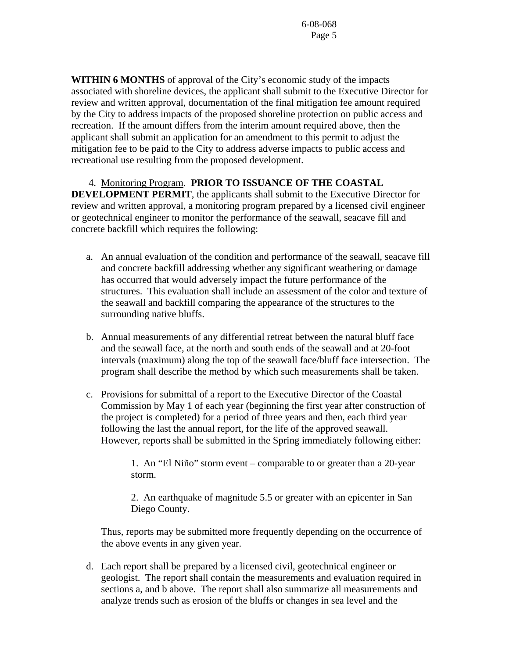**WITHIN 6 MONTHS** of approval of the City's economic study of the impacts associated with shoreline devices, the applicant shall submit to the Executive Director for review and written approval, documentation of the final mitigation fee amount required by the City to address impacts of the proposed shoreline protection on public access and recreation. If the amount differs from the interim amount required above, then the applicant shall submit an application for an amendment to this permit to adjust the mitigation fee to be paid to the City to address adverse impacts to public access and recreational use resulting from the proposed development.

 4. Monitoring Program. **PRIOR TO ISSUANCE OF THE COASTAL DEVELOPMENT PERMIT**, the applicants shall submit to the Executive Director for review and written approval, a monitoring program prepared by a licensed civil engineer or geotechnical engineer to monitor the performance of the seawall, seacave fill and concrete backfill which requires the following:

- a. An annual evaluation of the condition and performance of the seawall, seacave fill and concrete backfill addressing whether any significant weathering or damage has occurred that would adversely impact the future performance of the structures. This evaluation shall include an assessment of the color and texture of the seawall and backfill comparing the appearance of the structures to the surrounding native bluffs.
- b. Annual measurements of any differential retreat between the natural bluff face and the seawall face, at the north and south ends of the seawall and at 20-foot intervals (maximum) along the top of the seawall face/bluff face intersection. The program shall describe the method by which such measurements shall be taken.
- c. Provisions for submittal of a report to the Executive Director of the Coastal Commission by May 1 of each year (beginning the first year after construction of the project is completed) for a period of three years and then, each third year following the last the annual report, for the life of the approved seawall. However, reports shall be submitted in the Spring immediately following either:

1. An "El Niño" storm event – comparable to or greater than a 20-year storm.

2. An earthquake of magnitude 5.5 or greater with an epicenter in San Diego County.

Thus, reports may be submitted more frequently depending on the occurrence of the above events in any given year.

d. Each report shall be prepared by a licensed civil, geotechnical engineer or geologist. The report shall contain the measurements and evaluation required in sections a, and b above. The report shall also summarize all measurements and analyze trends such as erosion of the bluffs or changes in sea level and the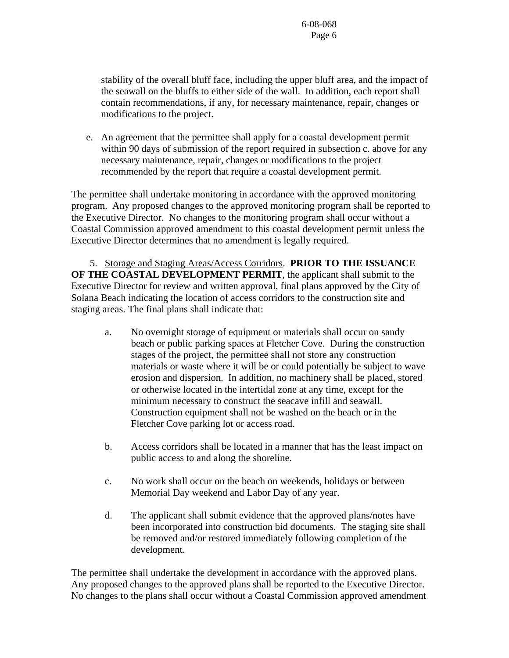stability of the overall bluff face, including the upper bluff area, and the impact of the seawall on the bluffs to either side of the wall. In addition, each report shall contain recommendations, if any, for necessary maintenance, repair, changes or modifications to the project.

e. An agreement that the permittee shall apply for a coastal development permit within 90 days of submission of the report required in subsection c. above for any necessary maintenance, repair, changes or modifications to the project recommended by the report that require a coastal development permit.

The permittee shall undertake monitoring in accordance with the approved monitoring program. Any proposed changes to the approved monitoring program shall be reported to the Executive Director. No changes to the monitoring program shall occur without a Coastal Commission approved amendment to this coastal development permit unless the Executive Director determines that no amendment is legally required.

 5. Storage and Staging Areas/Access Corridors. **PRIOR TO THE ISSUANCE OF THE COASTAL DEVELOPMENT PERMIT**, the applicant shall submit to the Executive Director for review and written approval, final plans approved by the City of Solana Beach indicating the location of access corridors to the construction site and staging areas. The final plans shall indicate that:

- a. No overnight storage of equipment or materials shall occur on sandy beach or public parking spaces at Fletcher Cove. During the construction stages of the project, the permittee shall not store any construction materials or waste where it will be or could potentially be subject to wave erosion and dispersion. In addition, no machinery shall be placed, stored or otherwise located in the intertidal zone at any time, except for the minimum necessary to construct the seacave infill and seawall. Construction equipment shall not be washed on the beach or in the Fletcher Cove parking lot or access road.
- b. Access corridors shall be located in a manner that has the least impact on public access to and along the shoreline.
- c. No work shall occur on the beach on weekends, holidays or between Memorial Day weekend and Labor Day of any year.
- d. The applicant shall submit evidence that the approved plans/notes have been incorporated into construction bid documents. The staging site shall be removed and/or restored immediately following completion of the development.

The permittee shall undertake the development in accordance with the approved plans. Any proposed changes to the approved plans shall be reported to the Executive Director. No changes to the plans shall occur without a Coastal Commission approved amendment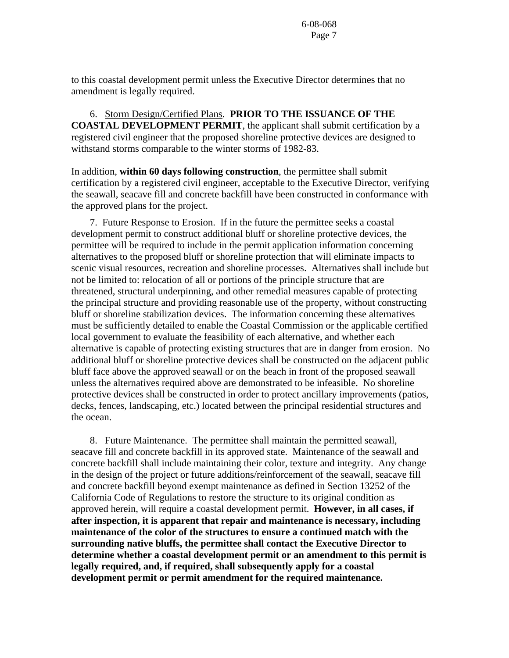to this coastal development permit unless the Executive Director determines that no amendment is legally required.

 6. Storm Design/Certified Plans. **PRIOR TO THE ISSUANCE OF THE COASTAL DEVELOPMENT PERMIT**, the applicant shall submit certification by a registered civil engineer that the proposed shoreline protective devices are designed to withstand storms comparable to the winter storms of 1982-83.

In addition, **within 60 days following construction**, the permittee shall submit certification by a registered civil engineer, acceptable to the Executive Director, verifying the seawall, seacave fill and concrete backfill have been constructed in conformance with the approved plans for the project.

 7. Future Response to Erosion. If in the future the permittee seeks a coastal development permit to construct additional bluff or shoreline protective devices, the permittee will be required to include in the permit application information concerning alternatives to the proposed bluff or shoreline protection that will eliminate impacts to scenic visual resources, recreation and shoreline processes. Alternatives shall include but not be limited to: relocation of all or portions of the principle structure that are threatened, structural underpinning, and other remedial measures capable of protecting the principal structure and providing reasonable use of the property, without constructing bluff or shoreline stabilization devices. The information concerning these alternatives must be sufficiently detailed to enable the Coastal Commission or the applicable certified local government to evaluate the feasibility of each alternative, and whether each alternative is capable of protecting existing structures that are in danger from erosion. No additional bluff or shoreline protective devices shall be constructed on the adjacent public bluff face above the approved seawall or on the beach in front of the proposed seawall unless the alternatives required above are demonstrated to be infeasible. No shoreline protective devices shall be constructed in order to protect ancillary improvements (patios, decks, fences, landscaping, etc.) located between the principal residential structures and the ocean.

 8. Future Maintenance. The permittee shall maintain the permitted seawall, seacave fill and concrete backfill in its approved state. Maintenance of the seawall and concrete backfill shall include maintaining their color, texture and integrity. Any change in the design of the project or future additions/reinforcement of the seawall, seacave fill and concrete backfill beyond exempt maintenance as defined in Section 13252 of the California Code of Regulations to restore the structure to its original condition as approved herein, will require a coastal development permit. **However, in all cases, if after inspection, it is apparent that repair and maintenance is necessary, including maintenance of the color of the structures to ensure a continued match with the surrounding native bluffs, the permittee shall contact the Executive Director to determine whether a coastal development permit or an amendment to this permit is legally required, and, if required, shall subsequently apply for a coastal development permit or permit amendment for the required maintenance.**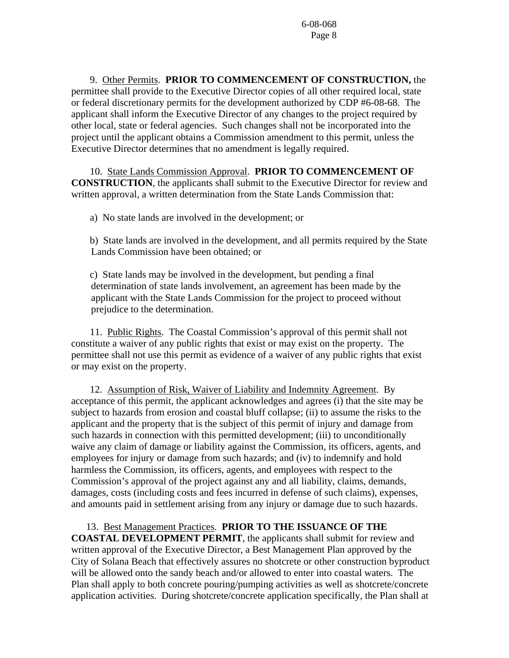9. Other Permits. **PRIOR TO COMMENCEMENT OF CONSTRUCTION,** the permittee shall provide to the Executive Director copies of all other required local, state or federal discretionary permits for the development authorized by CDP #6-08-68. The applicant shall inform the Executive Director of any changes to the project required by other local, state or federal agencies. Such changes shall not be incorporated into the project until the applicant obtains a Commission amendment to this permit, unless the Executive Director determines that no amendment is legally required.

 10. State Lands Commission Approval. **PRIOR TO COMMENCEMENT OF CONSTRUCTION**, the applicants shall submit to the Executive Director for review and written approval, a written determination from the State Lands Commission that:

a) No state lands are involved in the development; or

 b) State lands are involved in the development, and all permits required by the State Lands Commission have been obtained; or

 c) State lands may be involved in the development, but pending a final determination of state lands involvement, an agreement has been made by the applicant with the State Lands Commission for the project to proceed without prejudice to the determination.

 11. Public Rights. The Coastal Commission's approval of this permit shall not constitute a waiver of any public rights that exist or may exist on the property. The permittee shall not use this permit as evidence of a waiver of any public rights that exist or may exist on the property.

12. Assumption of Risk, Waiver of Liability and Indemnity Agreement. By acceptance of this permit, the applicant acknowledges and agrees (i) that the site may be subject to hazards from erosion and coastal bluff collapse; (ii) to assume the risks to the applicant and the property that is the subject of this permit of injury and damage from such hazards in connection with this permitted development; (iii) to unconditionally waive any claim of damage or liability against the Commission, its officers, agents, and employees for injury or damage from such hazards; and (iv) to indemnify and hold harmless the Commission, its officers, agents, and employees with respect to the Commission's approval of the project against any and all liability, claims, demands, damages, costs (including costs and fees incurred in defense of such claims), expenses, and amounts paid in settlement arising from any injury or damage due to such hazards.

#### 13. Best Management Practices. **PRIOR TO THE ISSUANCE OF THE**

**COASTAL DEVELOPMENT PERMIT**, the applicants shall submit for review and written approval of the Executive Director, a Best Management Plan approved by the City of Solana Beach that effectively assures no shotcrete or other construction byproduct will be allowed onto the sandy beach and/or allowed to enter into coastal waters. The Plan shall apply to both concrete pouring/pumping activities as well as shotcrete/concrete application activities. During shotcrete/concrete application specifically, the Plan shall at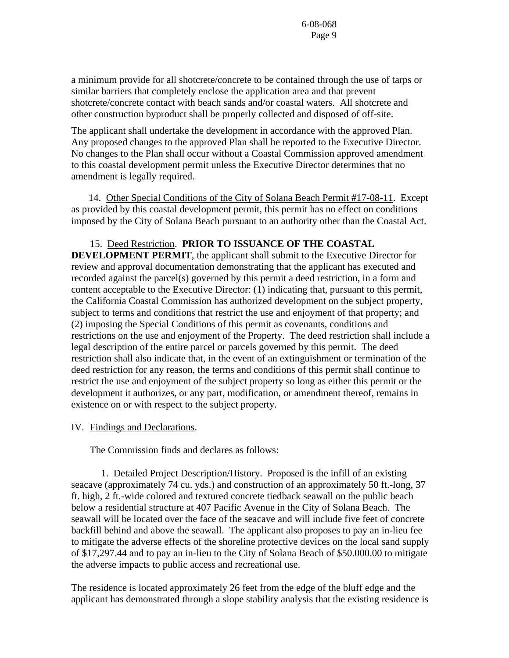a minimum provide for all shotcrete/concrete to be contained through the use of tarps or similar barriers that completely enclose the application area and that prevent shotcrete/concrete contact with beach sands and/or coastal waters. All shotcrete and other construction byproduct shall be properly collected and disposed of off-site.

The applicant shall undertake the development in accordance with the approved Plan. Any proposed changes to the approved Plan shall be reported to the Executive Director. No changes to the Plan shall occur without a Coastal Commission approved amendment to this coastal development permit unless the Executive Director determines that no amendment is legally required.

 14. Other Special Conditions of the City of Solana Beach Permit #17-08-11. Except as provided by this coastal development permit, this permit has no effect on conditions imposed by the City of Solana Beach pursuant to an authority other than the Coastal Act.

#### 15. Deed Restriction. **PRIOR TO ISSUANCE OF THE COASTAL**

**DEVELOPMENT PERMIT**, the applicant shall submit to the Executive Director for review and approval documentation demonstrating that the applicant has executed and recorded against the parcel(s) governed by this permit a deed restriction, in a form and content acceptable to the Executive Director: (1) indicating that, pursuant to this permit, the California Coastal Commission has authorized development on the subject property, subject to terms and conditions that restrict the use and enjoyment of that property; and (2) imposing the Special Conditions of this permit as covenants, conditions and restrictions on the use and enjoyment of the Property. The deed restriction shall include a legal description of the entire parcel or parcels governed by this permit. The deed restriction shall also indicate that, in the event of an extinguishment or termination of the deed restriction for any reason, the terms and conditions of this permit shall continue to restrict the use and enjoyment of the subject property so long as either this permit or the development it authorizes, or any part, modification, or amendment thereof, remains in existence on or with respect to the subject property.

#### IV. Findings and Declarations.

The Commission finds and declares as follows:

 1. Detailed Project Description/History. Proposed is the infill of an existing seacave (approximately 74 cu. yds.) and construction of an approximately 50 ft.-long, 37 ft. high, 2 ft.-wide colored and textured concrete tiedback seawall on the public beach below a residential structure at 407 Pacific Avenue in the City of Solana Beach. The seawall will be located over the face of the seacave and will include five feet of concrete backfill behind and above the seawall. The applicant also proposes to pay an in-lieu fee to mitigate the adverse effects of the shoreline protective devices on the local sand supply of \$17,297.44 and to pay an in-lieu to the City of Solana Beach of \$50.000.00 to mitigate the adverse impacts to public access and recreational use.

The residence is located approximately 26 feet from the edge of the bluff edge and the applicant has demonstrated through a slope stability analysis that the existing residence is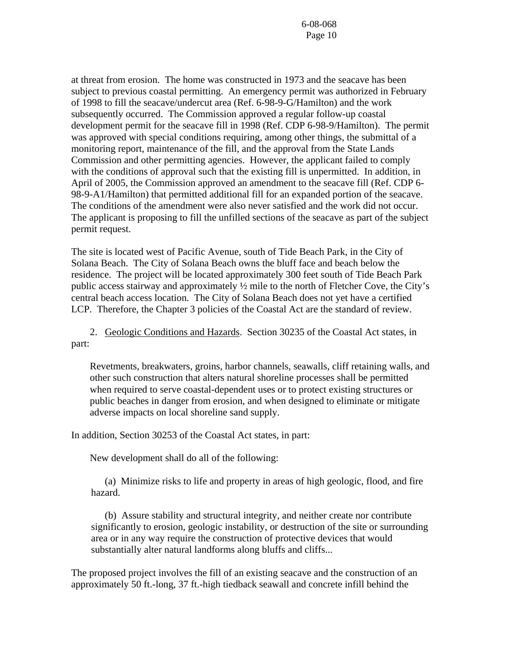at threat from erosion. The home was constructed in 1973 and the seacave has been subject to previous coastal permitting. An emergency permit was authorized in February of 1998 to fill the seacave/undercut area (Ref. 6-98-9-G/Hamilton) and the work subsequently occurred. The Commission approved a regular follow-up coastal development permit for the seacave fill in 1998 (Ref. CDP 6-98-9/Hamilton). The permit was approved with special conditions requiring, among other things, the submittal of a monitoring report, maintenance of the fill, and the approval from the State Lands Commission and other permitting agencies. However, the applicant failed to comply with the conditions of approval such that the existing fill is unpermitted. In addition, in April of 2005, the Commission approved an amendment to the seacave fill (Ref. CDP 6- 98-9-A1/Hamilton) that permitted additional fill for an expanded portion of the seacave. The conditions of the amendment were also never satisfied and the work did not occur. The applicant is proposing to fill the unfilled sections of the seacave as part of the subject permit request.

The site is located west of Pacific Avenue, south of Tide Beach Park, in the City of Solana Beach. The City of Solana Beach owns the bluff face and beach below the residence. The project will be located approximately 300 feet south of Tide Beach Park public access stairway and approximately ½ mile to the north of Fletcher Cove, the City's central beach access location. The City of Solana Beach does not yet have a certified LCP. Therefore, the Chapter 3 policies of the Coastal Act are the standard of review.

 2. Geologic Conditions and Hazards. Section 30235 of the Coastal Act states, in part:

Revetments, breakwaters, groins, harbor channels, seawalls, cliff retaining walls, and other such construction that alters natural shoreline processes shall be permitted when required to serve coastal-dependent uses or to protect existing structures or public beaches in danger from erosion, and when designed to eliminate or mitigate adverse impacts on local shoreline sand supply.

In addition, Section 30253 of the Coastal Act states, in part:

New development shall do all of the following:

 (a) Minimize risks to life and property in areas of high geologic, flood, and fire hazard.

 (b) Assure stability and structural integrity, and neither create nor contribute significantly to erosion, geologic instability, or destruction of the site or surrounding area or in any way require the construction of protective devices that would substantially alter natural landforms along bluffs and cliffs...

The proposed project involves the fill of an existing seacave and the construction of an approximately 50 ft.-long, 37 ft.-high tiedback seawall and concrete infill behind the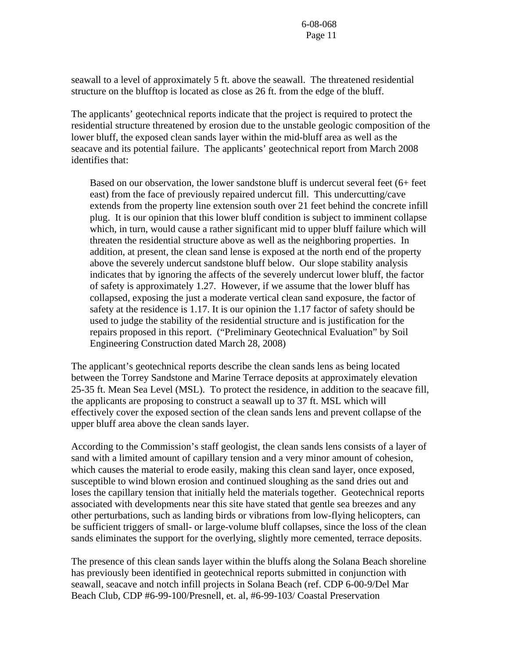seawall to a level of approximately 5 ft. above the seawall. The threatened residential structure on the blufftop is located as close as 26 ft. from the edge of the bluff.

The applicants' geotechnical reports indicate that the project is required to protect the residential structure threatened by erosion due to the unstable geologic composition of the lower bluff, the exposed clean sands layer within the mid-bluff area as well as the seacave and its potential failure. The applicants' geotechnical report from March 2008 identifies that:

Based on our observation, the lower sandstone bluff is undercut several feet (6+ feet east) from the face of previously repaired undercut fill. This undercutting/cave extends from the property line extension south over 21 feet behind the concrete infill plug. It is our opinion that this lower bluff condition is subject to imminent collapse which, in turn, would cause a rather significant mid to upper bluff failure which will threaten the residential structure above as well as the neighboring properties. In addition, at present, the clean sand lense is exposed at the north end of the property above the severely undercut sandstone bluff below. Our slope stability analysis indicates that by ignoring the affects of the severely undercut lower bluff, the factor of safety is approximately 1.27. However, if we assume that the lower bluff has collapsed, exposing the just a moderate vertical clean sand exposure, the factor of safety at the residence is 1.17. It is our opinion the 1.17 factor of safety should be used to judge the stability of the residential structure and is justification for the repairs proposed in this report. ("Preliminary Geotechnical Evaluation" by Soil Engineering Construction dated March 28, 2008)

The applicant's geotechnical reports describe the clean sands lens as being located between the Torrey Sandstone and Marine Terrace deposits at approximately elevation 25-35 ft. Mean Sea Level (MSL). To protect the residence, in addition to the seacave fill, the applicants are proposing to construct a seawall up to 37 ft. MSL which will effectively cover the exposed section of the clean sands lens and prevent collapse of the upper bluff area above the clean sands layer.

According to the Commission's staff geologist, the clean sands lens consists of a layer of sand with a limited amount of capillary tension and a very minor amount of cohesion, which causes the material to erode easily, making this clean sand layer, once exposed, susceptible to wind blown erosion and continued sloughing as the sand dries out and loses the capillary tension that initially held the materials together. Geotechnical reports associated with developments near this site have stated that gentle sea breezes and any other perturbations, such as landing birds or vibrations from low-flying helicopters, can be sufficient triggers of small- or large-volume bluff collapses, since the loss of the clean sands eliminates the support for the overlying, slightly more cemented, terrace deposits.

The presence of this clean sands layer within the bluffs along the Solana Beach shoreline has previously been identified in geotechnical reports submitted in conjunction with seawall, seacave and notch infill projects in Solana Beach (ref. CDP 6-00-9/Del Mar Beach Club, CDP #6-99-100/Presnell, et. al, #6-99-103/ Coastal Preservation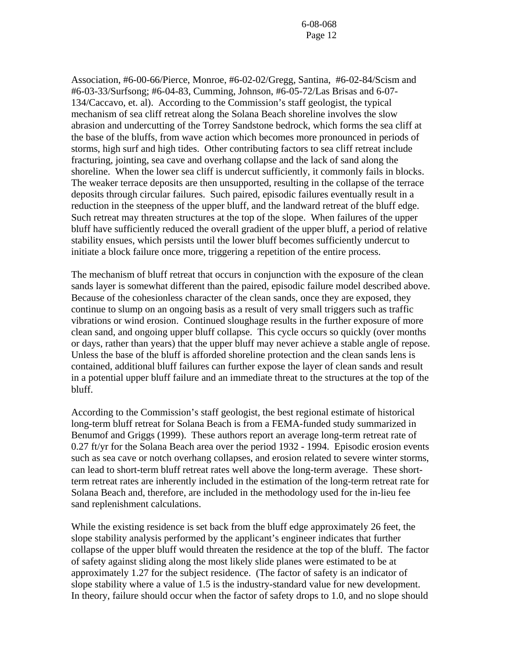Association, #6-00-66/Pierce, Monroe, #6-02-02/Gregg, Santina, #6-02-84/Scism and #6-03-33/Surfsong; #6-04-83, Cumming, Johnson, #6-05-72/Las Brisas and 6-07- 134/Caccavo, et. al). According to the Commission's staff geologist, the typical mechanism of sea cliff retreat along the Solana Beach shoreline involves the slow abrasion and undercutting of the Torrey Sandstone bedrock, which forms the sea cliff at the base of the bluffs, from wave action which becomes more pronounced in periods of storms, high surf and high tides. Other contributing factors to sea cliff retreat include fracturing, jointing, sea cave and overhang collapse and the lack of sand along the shoreline. When the lower sea cliff is undercut sufficiently, it commonly fails in blocks. The weaker terrace deposits are then unsupported, resulting in the collapse of the terrace deposits through circular failures. Such paired, episodic failures eventually result in a reduction in the steepness of the upper bluff, and the landward retreat of the bluff edge. Such retreat may threaten structures at the top of the slope. When failures of the upper bluff have sufficiently reduced the overall gradient of the upper bluff, a period of relative stability ensues, which persists until the lower bluff becomes sufficiently undercut to initiate a block failure once more, triggering a repetition of the entire process.

The mechanism of bluff retreat that occurs in conjunction with the exposure of the clean sands layer is somewhat different than the paired, episodic failure model described above. Because of the cohesionless character of the clean sands, once they are exposed, they continue to slump on an ongoing basis as a result of very small triggers such as traffic vibrations or wind erosion. Continued sloughage results in the further exposure of more clean sand, and ongoing upper bluff collapse. This cycle occurs so quickly (over months or days, rather than years) that the upper bluff may never achieve a stable angle of repose. Unless the base of the bluff is afforded shoreline protection and the clean sands lens is contained, additional bluff failures can further expose the layer of clean sands and result in a potential upper bluff failure and an immediate threat to the structures at the top of the bluff.

According to the Commission's staff geologist, the best regional estimate of historical long-term bluff retreat for Solana Beach is from a FEMA-funded study summarized in Benumof and Griggs (1999). These authors report an average long-term retreat rate of 0.27 ft/yr for the Solana Beach area over the period 1932 - 1994. Episodic erosion events such as sea cave or notch overhang collapses, and erosion related to severe winter storms, can lead to short-term bluff retreat rates well above the long-term average. These shortterm retreat rates are inherently included in the estimation of the long-term retreat rate for Solana Beach and, therefore, are included in the methodology used for the in-lieu fee sand replenishment calculations.

While the existing residence is set back from the bluff edge approximately 26 feet, the slope stability analysis performed by the applicant's engineer indicates that further collapse of the upper bluff would threaten the residence at the top of the bluff. The factor of safety against sliding along the most likely slide planes were estimated to be at approximately 1.27 for the subject residence. (The factor of safety is an indicator of slope stability where a value of 1.5 is the industry-standard value for new development. In theory, failure should occur when the factor of safety drops to 1.0, and no slope should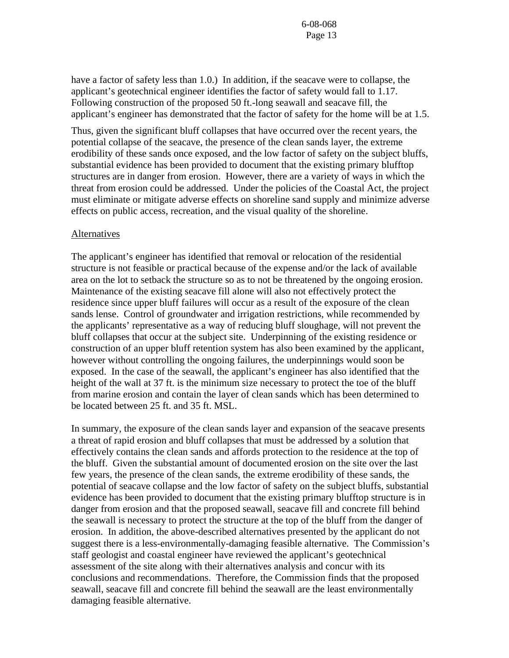have a factor of safety less than 1.0.) In addition, if the seacave were to collapse, the applicant's geotechnical engineer identifies the factor of safety would fall to 1.17. Following construction of the proposed 50 ft.-long seawall and seacave fill, the applicant's engineer has demonstrated that the factor of safety for the home will be at 1.5.

Thus, given the significant bluff collapses that have occurred over the recent years, the potential collapse of the seacave, the presence of the clean sands layer, the extreme erodibility of these sands once exposed, and the low factor of safety on the subject bluffs, substantial evidence has been provided to document that the existing primary blufftop structures are in danger from erosion. However, there are a variety of ways in which the threat from erosion could be addressed. Under the policies of the Coastal Act, the project must eliminate or mitigate adverse effects on shoreline sand supply and minimize adverse effects on public access, recreation, and the visual quality of the shoreline.

#### Alternatives

The applicant's engineer has identified that removal or relocation of the residential structure is not feasible or practical because of the expense and/or the lack of available area on the lot to setback the structure so as to not be threatened by the ongoing erosion. Maintenance of the existing seacave fill alone will also not effectively protect the residence since upper bluff failures will occur as a result of the exposure of the clean sands lense. Control of groundwater and irrigation restrictions, while recommended by the applicants' representative as a way of reducing bluff sloughage, will not prevent the bluff collapses that occur at the subject site. Underpinning of the existing residence or construction of an upper bluff retention system has also been examined by the applicant, however without controlling the ongoing failures, the underpinnings would soon be exposed. In the case of the seawall, the applicant's engineer has also identified that the height of the wall at 37 ft. is the minimum size necessary to protect the toe of the bluff from marine erosion and contain the layer of clean sands which has been determined to be located between 25 ft. and 35 ft. MSL.

In summary, the exposure of the clean sands layer and expansion of the seacave presents a threat of rapid erosion and bluff collapses that must be addressed by a solution that effectively contains the clean sands and affords protection to the residence at the top of the bluff. Given the substantial amount of documented erosion on the site over the last few years, the presence of the clean sands, the extreme erodibility of these sands, the potential of seacave collapse and the low factor of safety on the subject bluffs, substantial evidence has been provided to document that the existing primary blufftop structure is in danger from erosion and that the proposed seawall, seacave fill and concrete fill behind the seawall is necessary to protect the structure at the top of the bluff from the danger of erosion. In addition, the above-described alternatives presented by the applicant do not suggest there is a less-environmentally-damaging feasible alternative. The Commission's staff geologist and coastal engineer have reviewed the applicant's geotechnical assessment of the site along with their alternatives analysis and concur with its conclusions and recommendations. Therefore, the Commission finds that the proposed seawall, seacave fill and concrete fill behind the seawall are the least environmentally damaging feasible alternative.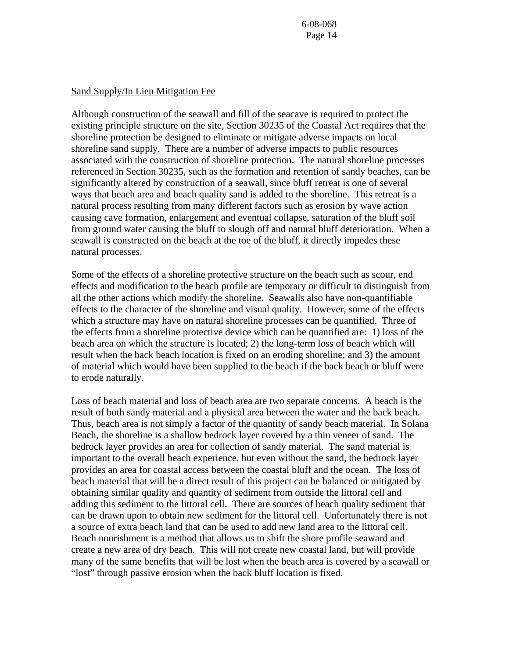#### Sand Supply/In Lieu Mitigation Fee

Although construction of the seawall and fill of the seacave is required to protect the existing principle structure on the site, Section 30235 of the Coastal Act requires that the shoreline protection be designed to eliminate or mitigate adverse impacts on local shoreline sand supply. There are a number of adverse impacts to public resources associated with the construction of shoreline protection. The natural shoreline processes referenced in Section 30235, such as the formation and retention of sandy beaches, can be significantly altered by construction of a seawall, since bluff retreat is one of several ways that beach area and beach quality sand is added to the shoreline. This retreat is a natural process resulting from many different factors such as erosion by wave action causing cave formation, enlargement and eventual collapse, saturation of the bluff soil from ground water causing the bluff to slough off and natural bluff deterioration. When a seawall is constructed on the beach at the toe of the bluff, it directly impedes these natural processes.

Some of the effects of a shoreline protective structure on the beach such as scour, end effects and modification to the beach profile are temporary or difficult to distinguish from all the other actions which modify the shoreline. Seawalls also have non-quantifiable effects to the character of the shoreline and visual quality. However, some of the effects which a structure may have on natural shoreline processes can be quantified. Three of the effects from a shoreline protective device which can be quantified are: 1) loss of the beach area on which the structure is located; 2) the long-term loss of beach which will result when the back beach location is fixed on an eroding shoreline; and 3) the amount of material which would have been supplied to the beach if the back beach or bluff were to erode naturally.

Loss of beach material and loss of beach area are two separate concerns. A beach is the result of both sandy material and a physical area between the water and the back beach. Thus, beach area is not simply a factor of the quantity of sandy beach material. In Solana Beach, the shoreline is a shallow bedrock layer covered by a thin veneer of sand. The bedrock layer provides an area for collection of sandy material. The sand material is important to the overall beach experience, but even without the sand, the bedrock layer provides an area for coastal access between the coastal bluff and the ocean. The loss of beach material that will be a direct result of this project can be balanced or mitigated by obtaining similar quality and quantity of sediment from outside the littoral cell and adding this sediment to the littoral cell. There are sources of beach quality sediment that can be drawn upon to obtain new sediment for the littoral cell. Unfortunately there is not a source of extra beach land that can be used to add new land area to the littoral cell. Beach nourishment is a method that allows us to shift the shore profile seaward and create a new area of dry beach. This will not create new coastal land, but will provide many of the same benefits that will be lost when the beach area is covered by a seawall or "lost" through passive erosion when the back bluff location is fixed.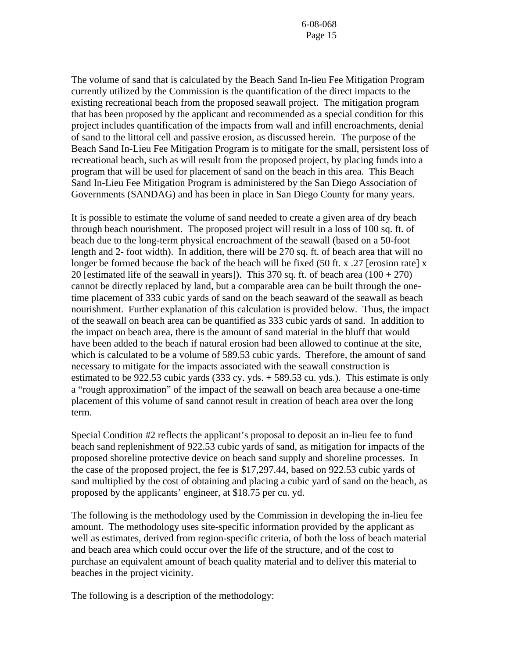The volume of sand that is calculated by the Beach Sand In-lieu Fee Mitigation Program currently utilized by the Commission is the quantification of the direct impacts to the existing recreational beach from the proposed seawall project. The mitigation program that has been proposed by the applicant and recommended as a special condition for this project includes quantification of the impacts from wall and infill encroachments, denial of sand to the littoral cell and passive erosion, as discussed herein. The purpose of the Beach Sand In-Lieu Fee Mitigation Program is to mitigate for the small, persistent loss of recreational beach, such as will result from the proposed project, by placing funds into a program that will be used for placement of sand on the beach in this area. This Beach Sand In-Lieu Fee Mitigation Program is administered by the San Diego Association of Governments (SANDAG) and has been in place in San Diego County for many years.

It is possible to estimate the volume of sand needed to create a given area of dry beach through beach nourishment. The proposed project will result in a loss of 100 sq. ft. of beach due to the long-term physical encroachment of the seawall (based on a 50-foot length and 2- foot width). In addition, there will be 270 sq. ft. of beach area that will no longer be formed because the back of the beach will be fixed (50 ft. x .27 [erosion rate] x 20 [estimated life of the seawall in years]). This  $370$  sq. ft. of beach area  $(100 + 270)$ cannot be directly replaced by land, but a comparable area can be built through the onetime placement of 333 cubic yards of sand on the beach seaward of the seawall as beach nourishment. Further explanation of this calculation is provided below. Thus, the impact of the seawall on beach area can be quantified as 333 cubic yards of sand. In addition to the impact on beach area, there is the amount of sand material in the bluff that would have been added to the beach if natural erosion had been allowed to continue at the site, which is calculated to be a volume of 589.53 cubic yards. Therefore, the amount of sand necessary to mitigate for the impacts associated with the seawall construction is estimated to be 922.53 cubic yards (333 cy. yds. + 589.53 cu. yds.). This estimate is only a "rough approximation" of the impact of the seawall on beach area because a one-time placement of this volume of sand cannot result in creation of beach area over the long term.

Special Condition #2 reflects the applicant's proposal to deposit an in-lieu fee to fund beach sand replenishment of 922.53 cubic yards of sand, as mitigation for impacts of the proposed shoreline protective device on beach sand supply and shoreline processes. In the case of the proposed project, the fee is \$17,297.44, based on 922.53 cubic yards of sand multiplied by the cost of obtaining and placing a cubic yard of sand on the beach, as proposed by the applicants' engineer, at \$18.75 per cu. yd.

The following is the methodology used by the Commission in developing the in-lieu fee amount. The methodology uses site-specific information provided by the applicant as well as estimates, derived from region-specific criteria, of both the loss of beach material and beach area which could occur over the life of the structure, and of the cost to purchase an equivalent amount of beach quality material and to deliver this material to beaches in the project vicinity.

The following is a description of the methodology: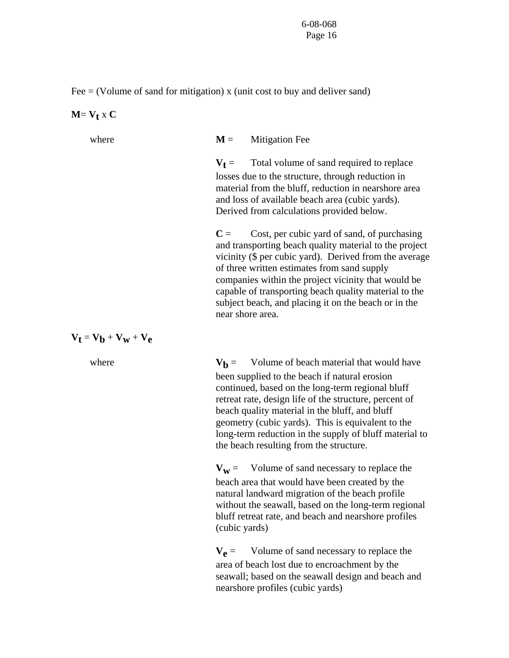Fee  $=$  (Volume of sand for mitigation) x (unit cost to buy and deliver sand)

#### $M = V_t x C$

where  $M =$  Mitigation Fee

 $V<sub>t</sub>$  = Total volume of sand required to replace losses due to the structure, through reduction in material from the bluff, reduction in nearshore area and loss of available beach area (cubic yards). Derived from calculations provided below.

 $C =$  Cost, per cubic yard of sand, of purchasing and transporting beach quality material to the project vicinity (\$ per cubic yard). Derived from the average of three written estimates from sand supply companies within the project vicinity that would be capable of transporting beach quality material to the subject beach, and placing it on the beach or in the near shore area.

 $V_t = V_b + V_w + V_e$ 

where  $V_b$  = Volume of beach material that would have been supplied to the beach if natural erosion continued, based on the long-term regional bluff retreat rate, design life of the structure, percent of beach quality material in the bluff, and bluff geometry (cubic yards). This is equivalent to the long-term reduction in the supply of bluff material to the beach resulting from the structure.

> $V_W$  = Volume of sand necessary to replace the beach area that would have been created by the natural landward migration of the beach profile without the seawall, based on the long-term regional bluff retreat rate, and beach and nearshore profiles (cubic yards)

 $V_{\rho}$  = Volume of sand necessary to replace the area of beach lost due to encroachment by the seawall; based on the seawall design and beach and nearshore profiles (cubic yards)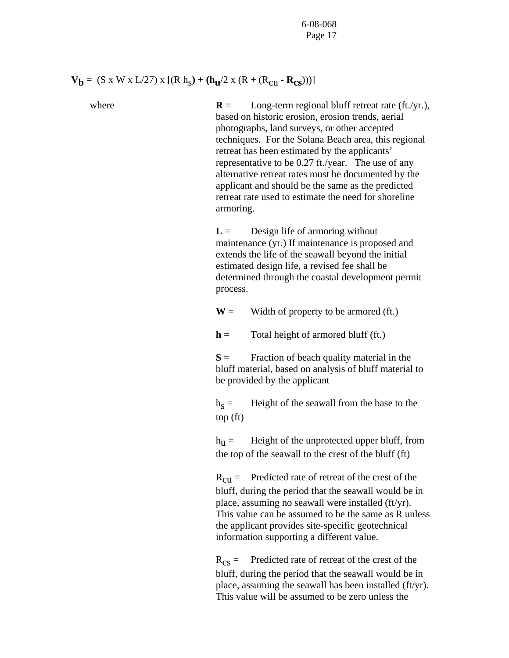$$
V_b = (S x W x L/27) x [(R h_s) + (h_u/2 x (R + (R_{cu} - R_{cs})))]
$$

where **R** = Long-term regional bluff retreat rate (ft./yr.), based on historic erosion, erosion trends, aerial photographs, land surveys, or other accepted techniques. For the Solana Beach area, this regional retreat has been estimated by the applicants' representative to be 0.27 ft./year. The use of any alternative retreat rates must be documented by the applicant and should be the same as the predicted retreat rate used to estimate the need for shoreline armoring.

> $L =$  Design life of armoring without maintenance (yr.) If maintenance is proposed and extends the life of the seawall beyond the initial estimated design life, a revised fee shall be determined through the coastal development permit process.

 $W =$  Width of property to be armored (ft.)

 $h =$  Total height of armored bluff (ft.)

 $S =$  Fraction of beach quality material in the bluff material, based on analysis of bluff material to be provided by the applicant

 $h<sub>S</sub>$  = Height of the seawall from the base to the top (ft)

 $h_{\text{H}} =$  Height of the unprotected upper bluff, from the top of the seawall to the crest of the bluff (ft)

 $R_{\text{CII}} =$  Predicted rate of retreat of the crest of the bluff, during the period that the seawall would be in place, assuming no seawall were installed (ft/yr). This value can be assumed to be the same as R unless the applicant provides site-specific geotechnical information supporting a different value.

 $R_{cs}$  = Predicted rate of retreat of the crest of the bluff, during the period that the seawall would be in place, assuming the seawall has been installed (ft/yr). This value will be assumed to be zero unless the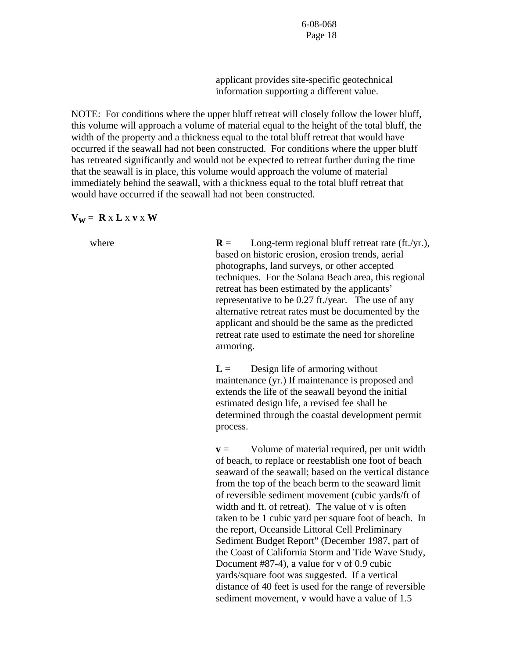applicant provides site-specific geotechnical information supporting a different value.

NOTE: For conditions where the upper bluff retreat will closely follow the lower bluff, this volume will approach a volume of material equal to the height of the total bluff, the width of the property and a thickness equal to the total bluff retreat that would have occurred if the seawall had not been constructed. For conditions where the upper bluff has retreated significantly and would not be expected to retreat further during the time that the seawall is in place, this volume would approach the volume of material immediately behind the seawall, with a thickness equal to the total bluff retreat that would have occurred if the seawall had not been constructed.

#### $V_w = R \times L \times V \times W$

where **R** = Long-term regional bluff retreat rate (ft./yr.), based on historic erosion, erosion trends, aerial photographs, land surveys, or other accepted techniques. For the Solana Beach area, this regional retreat has been estimated by the applicants' representative to be 0.27 ft./year. The use of any alternative retreat rates must be documented by the applicant and should be the same as the predicted retreat rate used to estimate the need for shoreline armoring.

> $L =$  Design life of armoring without maintenance (yr.) If maintenance is proposed and extends the life of the seawall beyond the initial estimated design life, a revised fee shall be determined through the coastal development permit process.

**v** = Volume of material required, per unit width of beach, to replace or reestablish one foot of beach seaward of the seawall; based on the vertical distance from the top of the beach berm to the seaward limit of reversible sediment movement (cubic yards/ft of width and ft. of retreat). The value of v is often taken to be 1 cubic yard per square foot of beach. In the report, Oceanside Littoral Cell Preliminary Sediment Budget Report" (December 1987, part of the Coast of California Storm and Tide Wave Study, Document #87-4), a value for v of 0.9 cubic yards/square foot was suggested. If a vertical distance of 40 feet is used for the range of reversible sediment movement, v would have a value of 1.5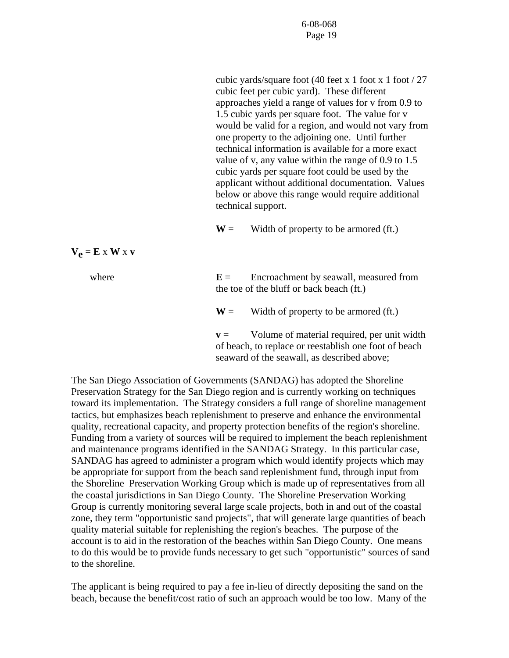cubic yards/square foot (40 feet x 1 foot x 1 foot  $/ 27$ cubic feet per cubic yard). These different approaches yield a range of values for v from 0.9 to 1.5 cubic yards per square foot. The value for v would be valid for a region, and would not vary from one property to the adjoining one. Until further technical information is available for a more exact value of v, any value within the range of 0.9 to 1.5 cubic yards per square foot could be used by the applicant without additional documentation. Values below or above this range would require additional technical support.

 $W =$  Width of property to be armored (ft.)

| where | $E =$ Encroachment by seawall, measured from<br>the toe of the bluff or back beach (ft.) |
|-------|------------------------------------------------------------------------------------------|
|       |                                                                                          |

 $W =$  Width of property to be armored (ft.)

 $v =$  Volume of material required, per unit width of beach, to replace or reestablish one foot of beach seaward of the seawall, as described above;

The San Diego Association of Governments (SANDAG) has adopted the Shoreline Preservation Strategy for the San Diego region and is currently working on techniques toward its implementation. The Strategy considers a full range of shoreline management tactics, but emphasizes beach replenishment to preserve and enhance the environmental quality, recreational capacity, and property protection benefits of the region's shoreline. Funding from a variety of sources will be required to implement the beach replenishment and maintenance programs identified in the SANDAG Strategy. In this particular case, SANDAG has agreed to administer a program which would identify projects which may be appropriate for support from the beach sand replenishment fund, through input from the Shoreline Preservation Working Group which is made up of representatives from all the coastal jurisdictions in San Diego County. The Shoreline Preservation Working Group is currently monitoring several large scale projects, both in and out of the coastal zone, they term "opportunistic sand projects", that will generate large quantities of beach quality material suitable for replenishing the region's beaches. The purpose of the account is to aid in the restoration of the beaches within San Diego County. One means to do this would be to provide funds necessary to get such "opportunistic" sources of sand to the shoreline.

The applicant is being required to pay a fee in-lieu of directly depositing the sand on the beach, because the benefit/cost ratio of such an approach would be too low. Many of the

 $V_e = E \times W \times V$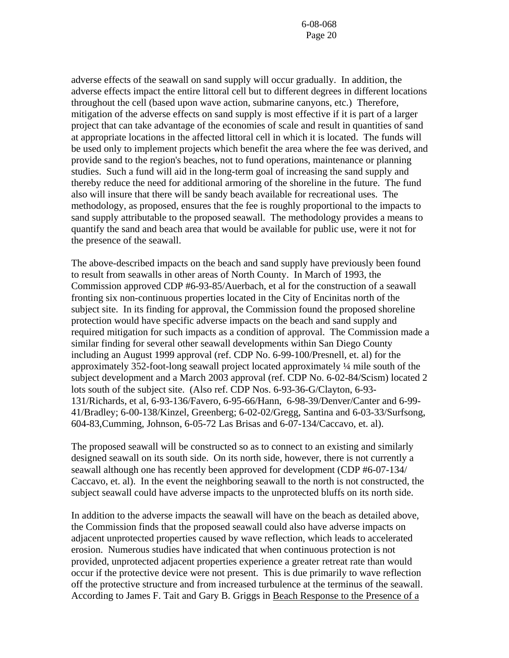adverse effects of the seawall on sand supply will occur gradually. In addition, the adverse effects impact the entire littoral cell but to different degrees in different locations throughout the cell (based upon wave action, submarine canyons, etc.) Therefore, mitigation of the adverse effects on sand supply is most effective if it is part of a larger project that can take advantage of the economies of scale and result in quantities of sand at appropriate locations in the affected littoral cell in which it is located. The funds will be used only to implement projects which benefit the area where the fee was derived, and provide sand to the region's beaches, not to fund operations, maintenance or planning studies. Such a fund will aid in the long-term goal of increasing the sand supply and thereby reduce the need for additional armoring of the shoreline in the future. The fund also will insure that there will be sandy beach available for recreational uses. The methodology, as proposed, ensures that the fee is roughly proportional to the impacts to sand supply attributable to the proposed seawall. The methodology provides a means to quantify the sand and beach area that would be available for public use, were it not for the presence of the seawall.

The above-described impacts on the beach and sand supply have previously been found to result from seawalls in other areas of North County. In March of 1993, the Commission approved CDP #6-93-85/Auerbach, et al for the construction of a seawall fronting six non-continuous properties located in the City of Encinitas north of the subject site. In its finding for approval, the Commission found the proposed shoreline protection would have specific adverse impacts on the beach and sand supply and required mitigation for such impacts as a condition of approval. The Commission made a similar finding for several other seawall developments within San Diego County including an August 1999 approval (ref. CDP No. 6-99-100/Presnell, et. al) for the approximately 352-foot-long seawall project located approximately ¼ mile south of the subject development and a March 2003 approval (ref. CDP No. 6-02-84/Scism) located 2 lots south of the subject site. (Also ref. CDP Nos. 6-93-36-G/Clayton, 6-93- 131/Richards, et al, 6-93-136/Favero, 6-95-66/Hann, 6-98-39/Denver/Canter and 6-99- 41/Bradley; 6-00-138/Kinzel, Greenberg; 6-02-02/Gregg, Santina and 6-03-33/Surfsong, 604-83,Cumming, Johnson, 6-05-72 Las Brisas and 6-07-134/Caccavo, et. al).

The proposed seawall will be constructed so as to connect to an existing and similarly designed seawall on its south side. On its north side, however, there is not currently a seawall although one has recently been approved for development (CDP #6-07-134/ Caccavo, et. al). In the event the neighboring seawall to the north is not constructed, the subject seawall could have adverse impacts to the unprotected bluffs on its north side.

In addition to the adverse impacts the seawall will have on the beach as detailed above, the Commission finds that the proposed seawall could also have adverse impacts on adjacent unprotected properties caused by wave reflection, which leads to accelerated erosion. Numerous studies have indicated that when continuous protection is not provided, unprotected adjacent properties experience a greater retreat rate than would occur if the protective device were not present. This is due primarily to wave reflection off the protective structure and from increased turbulence at the terminus of the seawall. According to James F. Tait and Gary B. Griggs in Beach Response to the Presence of a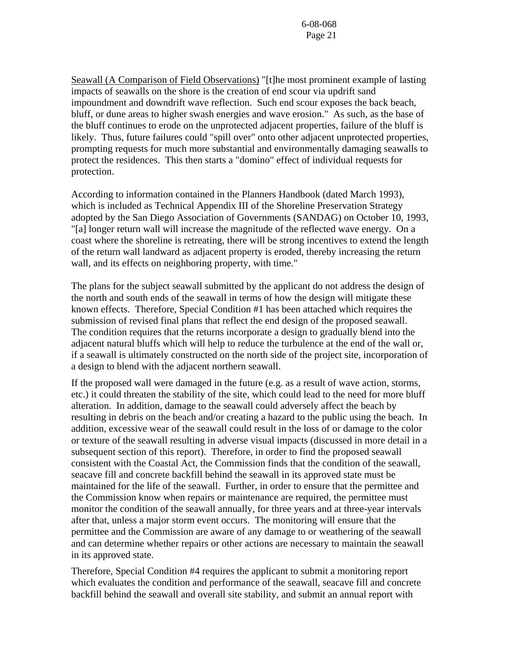Seawall (A Comparison of Field Observations) "[t]he most prominent example of lasting impacts of seawalls on the shore is the creation of end scour via updrift sand impoundment and downdrift wave reflection. Such end scour exposes the back beach, bluff, or dune areas to higher swash energies and wave erosion." As such, as the base of the bluff continues to erode on the unprotected adjacent properties, failure of the bluff is likely. Thus, future failures could "spill over" onto other adjacent unprotected properties, prompting requests for much more substantial and environmentally damaging seawalls to protect the residences. This then starts a "domino" effect of individual requests for protection.

According to information contained in the Planners Handbook (dated March 1993), which is included as Technical Appendix III of the Shoreline Preservation Strategy adopted by the San Diego Association of Governments (SANDAG) on October 10, 1993, "[a] longer return wall will increase the magnitude of the reflected wave energy. On a coast where the shoreline is retreating, there will be strong incentives to extend the length of the return wall landward as adjacent property is eroded, thereby increasing the return wall, and its effects on neighboring property, with time."

The plans for the subject seawall submitted by the applicant do not address the design of the north and south ends of the seawall in terms of how the design will mitigate these known effects. Therefore, Special Condition #1 has been attached which requires the submission of revised final plans that reflect the end design of the proposed seawall. The condition requires that the returns incorporate a design to gradually blend into the adjacent natural bluffs which will help to reduce the turbulence at the end of the wall or, if a seawall is ultimately constructed on the north side of the project site, incorporation of a design to blend with the adjacent northern seawall.

If the proposed wall were damaged in the future (e.g. as a result of wave action, storms, etc.) it could threaten the stability of the site, which could lead to the need for more bluff alteration. In addition, damage to the seawall could adversely affect the beach by resulting in debris on the beach and/or creating a hazard to the public using the beach. In addition, excessive wear of the seawall could result in the loss of or damage to the color or texture of the seawall resulting in adverse visual impacts (discussed in more detail in a subsequent section of this report). Therefore, in order to find the proposed seawall consistent with the Coastal Act, the Commission finds that the condition of the seawall, seacave fill and concrete backfill behind the seawall in its approved state must be maintained for the life of the seawall. Further, in order to ensure that the permittee and the Commission know when repairs or maintenance are required, the permittee must monitor the condition of the seawall annually, for three years and at three-year intervals after that, unless a major storm event occurs. The monitoring will ensure that the permittee and the Commission are aware of any damage to or weathering of the seawall and can determine whether repairs or other actions are necessary to maintain the seawall in its approved state.

Therefore, Special Condition #4 requires the applicant to submit a monitoring report which evaluates the condition and performance of the seawall, seacave fill and concrete backfill behind the seawall and overall site stability, and submit an annual report with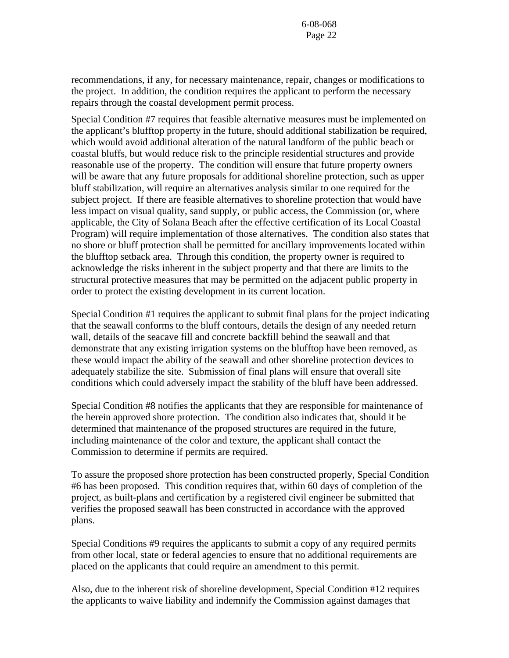recommendations, if any, for necessary maintenance, repair, changes or modifications to the project. In addition, the condition requires the applicant to perform the necessary repairs through the coastal development permit process.

Special Condition #7 requires that feasible alternative measures must be implemented on the applicant's blufftop property in the future, should additional stabilization be required, which would avoid additional alteration of the natural landform of the public beach or coastal bluffs, but would reduce risk to the principle residential structures and provide reasonable use of the property. The condition will ensure that future property owners will be aware that any future proposals for additional shoreline protection, such as upper bluff stabilization, will require an alternatives analysis similar to one required for the subject project. If there are feasible alternatives to shoreline protection that would have less impact on visual quality, sand supply, or public access, the Commission (or, where applicable, the City of Solana Beach after the effective certification of its Local Coastal Program) will require implementation of those alternatives. The condition also states that no shore or bluff protection shall be permitted for ancillary improvements located within the blufftop setback area. Through this condition, the property owner is required to acknowledge the risks inherent in the subject property and that there are limits to the structural protective measures that may be permitted on the adjacent public property in order to protect the existing development in its current location.

Special Condition #1 requires the applicant to submit final plans for the project indicating that the seawall conforms to the bluff contours, details the design of any needed return wall, details of the seacave fill and concrete backfill behind the seawall and that demonstrate that any existing irrigation systems on the blufftop have been removed, as these would impact the ability of the seawall and other shoreline protection devices to adequately stabilize the site. Submission of final plans will ensure that overall site conditions which could adversely impact the stability of the bluff have been addressed.

Special Condition #8 notifies the applicants that they are responsible for maintenance of the herein approved shore protection. The condition also indicates that, should it be determined that maintenance of the proposed structures are required in the future, including maintenance of the color and texture, the applicant shall contact the Commission to determine if permits are required.

To assure the proposed shore protection has been constructed properly, Special Condition #6 has been proposed. This condition requires that, within 60 days of completion of the project, as built-plans and certification by a registered civil engineer be submitted that verifies the proposed seawall has been constructed in accordance with the approved plans.

Special Conditions #9 requires the applicants to submit a copy of any required permits from other local, state or federal agencies to ensure that no additional requirements are placed on the applicants that could require an amendment to this permit.

Also, due to the inherent risk of shoreline development, Special Condition #12 requires the applicants to waive liability and indemnify the Commission against damages that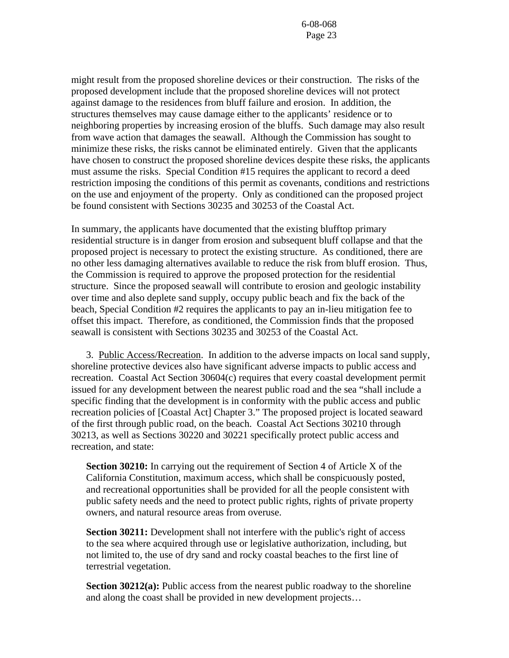might result from the proposed shoreline devices or their construction. The risks of the proposed development include that the proposed shoreline devices will not protect against damage to the residences from bluff failure and erosion. In addition, the structures themselves may cause damage either to the applicants' residence or to neighboring properties by increasing erosion of the bluffs. Such damage may also result from wave action that damages the seawall. Although the Commission has sought to minimize these risks, the risks cannot be eliminated entirely. Given that the applicants have chosen to construct the proposed shoreline devices despite these risks, the applicants must assume the risks. Special Condition #15 requires the applicant to record a deed restriction imposing the conditions of this permit as covenants, conditions and restrictions on the use and enjoyment of the property. Only as conditioned can the proposed project be found consistent with Sections 30235 and 30253 of the Coastal Act.

In summary, the applicants have documented that the existing blufftop primary residential structure is in danger from erosion and subsequent bluff collapse and that the proposed project is necessary to protect the existing structure. As conditioned, there are no other less damaging alternatives available to reduce the risk from bluff erosion. Thus, the Commission is required to approve the proposed protection for the residential structure. Since the proposed seawall will contribute to erosion and geologic instability over time and also deplete sand supply, occupy public beach and fix the back of the beach, Special Condition #2 requires the applicants to pay an in-lieu mitigation fee to offset this impact. Therefore, as conditioned, the Commission finds that the proposed seawall is consistent with Sections 30235 and 30253 of the Coastal Act.

3. Public Access/Recreation. In addition to the adverse impacts on local sand supply, shoreline protective devices also have significant adverse impacts to public access and recreation. Coastal Act Section 30604(c) requires that every coastal development permit issued for any development between the nearest public road and the sea "shall include a specific finding that the development is in conformity with the public access and public recreation policies of [Coastal Act] Chapter 3." The proposed project is located seaward of the first through public road, on the beach. Coastal Act Sections 30210 through 30213, as well as Sections 30220 and 30221 specifically protect public access and recreation, and state:

**Section 30210:** In carrying out the requirement of Section 4 of Article X of the California Constitution, maximum access, which shall be conspicuously posted, and recreational opportunities shall be provided for all the people consistent with public safety needs and the need to protect public rights, rights of private property owners, and natural resource areas from overuse.

**Section 30211:** Development shall not interfere with the public's right of access to the sea where acquired through use or legislative authorization, including, but not limited to, the use of dry sand and rocky coastal beaches to the first line of terrestrial vegetation.

**Section 30212(a):** Public access from the nearest public roadway to the shoreline and along the coast shall be provided in new development projects…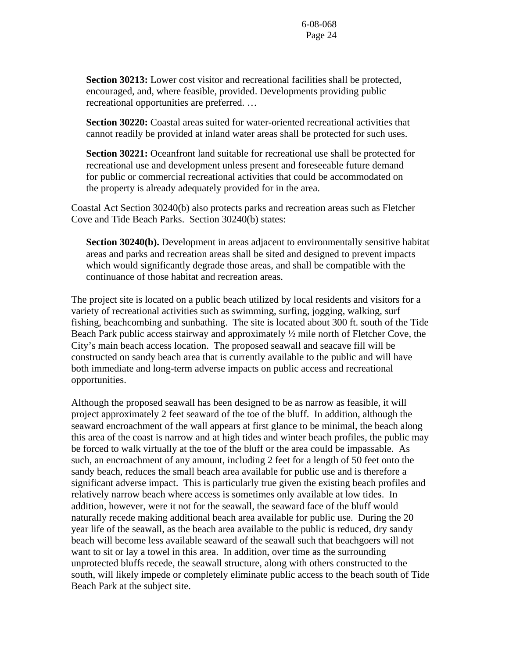**Section 30213:** Lower cost visitor and recreational facilities shall be protected, encouraged, and, where feasible, provided. Developments providing public recreational opportunities are preferred. …

**Section 30220:** Coastal areas suited for water-oriented recreational activities that cannot readily be provided at inland water areas shall be protected for such uses.

**Section 30221:** Oceanfront land suitable for recreational use shall be protected for recreational use and development unless present and foreseeable future demand for public or commercial recreational activities that could be accommodated on the property is already adequately provided for in the area.

Coastal Act Section 30240(b) also protects parks and recreation areas such as Fletcher Cove and Tide Beach Parks. Section 30240(b) states:

**Section 30240(b).** Development in areas adjacent to environmentally sensitive habitat areas and parks and recreation areas shall be sited and designed to prevent impacts which would significantly degrade those areas, and shall be compatible with the continuance of those habitat and recreation areas.

The project site is located on a public beach utilized by local residents and visitors for a variety of recreational activities such as swimming, surfing, jogging, walking, surf fishing, beachcombing and sunbathing. The site is located about 300 ft. south of the Tide Beach Park public access stairway and approximately ½ mile north of Fletcher Cove, the City's main beach access location. The proposed seawall and seacave fill will be constructed on sandy beach area that is currently available to the public and will have both immediate and long-term adverse impacts on public access and recreational opportunities.

Although the proposed seawall has been designed to be as narrow as feasible, it will project approximately 2 feet seaward of the toe of the bluff. In addition, although the seaward encroachment of the wall appears at first glance to be minimal, the beach along this area of the coast is narrow and at high tides and winter beach profiles, the public may be forced to walk virtually at the toe of the bluff or the area could be impassable. As such, an encroachment of any amount, including 2 feet for a length of 50 feet onto the sandy beach, reduces the small beach area available for public use and is therefore a significant adverse impact. This is particularly true given the existing beach profiles and relatively narrow beach where access is sometimes only available at low tides. In addition, however, were it not for the seawall, the seaward face of the bluff would naturally recede making additional beach area available for public use. During the 20 year life of the seawall, as the beach area available to the public is reduced, dry sandy beach will become less available seaward of the seawall such that beachgoers will not want to sit or lay a towel in this area. In addition, over time as the surrounding unprotected bluffs recede, the seawall structure, along with others constructed to the south, will likely impede or completely eliminate public access to the beach south of Tide Beach Park at the subject site.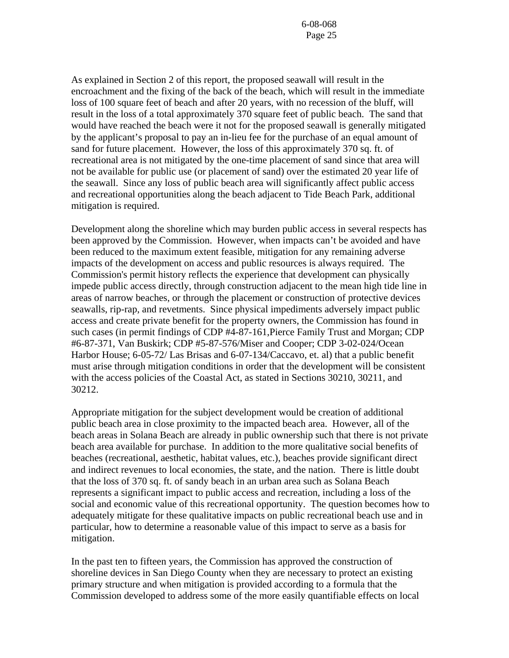As explained in Section 2 of this report, the proposed seawall will result in the encroachment and the fixing of the back of the beach, which will result in the immediate loss of 100 square feet of beach and after 20 years, with no recession of the bluff, will result in the loss of a total approximately 370 square feet of public beach. The sand that would have reached the beach were it not for the proposed seawall is generally mitigated by the applicant's proposal to pay an in-lieu fee for the purchase of an equal amount of sand for future placement. However, the loss of this approximately 370 sq. ft. of recreational area is not mitigated by the one-time placement of sand since that area will not be available for public use (or placement of sand) over the estimated 20 year life of the seawall. Since any loss of public beach area will significantly affect public access and recreational opportunities along the beach adjacent to Tide Beach Park, additional mitigation is required.

Development along the shoreline which may burden public access in several respects has been approved by the Commission. However, when impacts can't be avoided and have been reduced to the maximum extent feasible, mitigation for any remaining adverse impacts of the development on access and public resources is always required. The Commission's permit history reflects the experience that development can physically impede public access directly, through construction adjacent to the mean high tide line in areas of narrow beaches, or through the placement or construction of protective devices seawalls, rip-rap, and revetments. Since physical impediments adversely impact public access and create private benefit for the property owners, the Commission has found in such cases (in permit findings of CDP #4-87-161,Pierce Family Trust and Morgan; CDP #6-87-371, Van Buskirk; CDP #5-87-576/Miser and Cooper; CDP 3-02-024/Ocean Harbor House; 6-05-72/ Las Brisas and 6-07-134/Caccavo, et. al) that a public benefit must arise through mitigation conditions in order that the development will be consistent with the access policies of the Coastal Act, as stated in Sections 30210, 30211, and 30212.

Appropriate mitigation for the subject development would be creation of additional public beach area in close proximity to the impacted beach area. However, all of the beach areas in Solana Beach are already in public ownership such that there is not private beach area available for purchase. In addition to the more qualitative social benefits of beaches (recreational, aesthetic, habitat values, etc.), beaches provide significant direct and indirect revenues to local economies, the state, and the nation. There is little doubt that the loss of 370 sq. ft. of sandy beach in an urban area such as Solana Beach represents a significant impact to public access and recreation, including a loss of the social and economic value of this recreational opportunity. The question becomes how to adequately mitigate for these qualitative impacts on public recreational beach use and in particular, how to determine a reasonable value of this impact to serve as a basis for mitigation.

In the past ten to fifteen years, the Commission has approved the construction of shoreline devices in San Diego County when they are necessary to protect an existing primary structure and when mitigation is provided according to a formula that the Commission developed to address some of the more easily quantifiable effects on local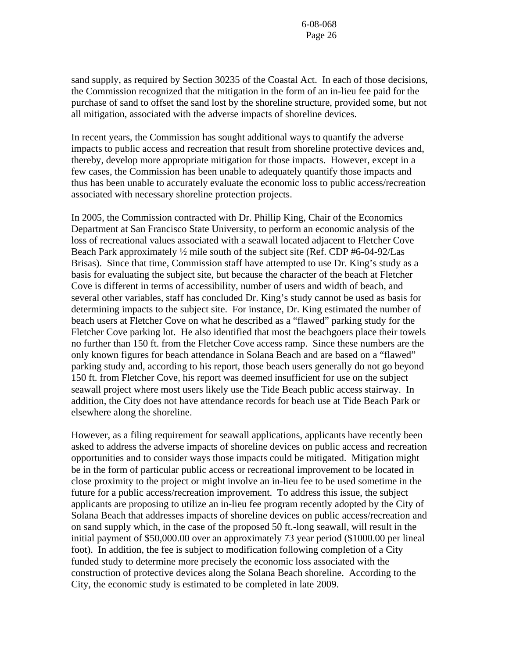sand supply, as required by Section 30235 of the Coastal Act. In each of those decisions, the Commission recognized that the mitigation in the form of an in-lieu fee paid for the purchase of sand to offset the sand lost by the shoreline structure, provided some, but not all mitigation, associated with the adverse impacts of shoreline devices.

In recent years, the Commission has sought additional ways to quantify the adverse impacts to public access and recreation that result from shoreline protective devices and, thereby, develop more appropriate mitigation for those impacts. However, except in a few cases, the Commission has been unable to adequately quantify those impacts and thus has been unable to accurately evaluate the economic loss to public access/recreation associated with necessary shoreline protection projects.

In 2005, the Commission contracted with Dr. Phillip King, Chair of the Economics Department at San Francisco State University, to perform an economic analysis of the loss of recreational values associated with a seawall located adjacent to Fletcher Cove Beach Park approximately ½ mile south of the subject site (Ref. CDP #6-04-92/Las Brisas). Since that time, Commission staff have attempted to use Dr. King's study as a basis for evaluating the subject site, but because the character of the beach at Fletcher Cove is different in terms of accessibility, number of users and width of beach, and several other variables, staff has concluded Dr. King's study cannot be used as basis for determining impacts to the subject site. For instance, Dr. King estimated the number of beach users at Fletcher Cove on what he described as a "flawed" parking study for the Fletcher Cove parking lot. He also identified that most the beachgoers place their towels no further than 150 ft. from the Fletcher Cove access ramp. Since these numbers are the only known figures for beach attendance in Solana Beach and are based on a "flawed" parking study and, according to his report, those beach users generally do not go beyond 150 ft. from Fletcher Cove, his report was deemed insufficient for use on the subject seawall project where most users likely use the Tide Beach public access stairway. In addition, the City does not have attendance records for beach use at Tide Beach Park or elsewhere along the shoreline.

However, as a filing requirement for seawall applications, applicants have recently been asked to address the adverse impacts of shoreline devices on public access and recreation opportunities and to consider ways those impacts could be mitigated. Mitigation might be in the form of particular public access or recreational improvement to be located in close proximity to the project or might involve an in-lieu fee to be used sometime in the future for a public access/recreation improvement. To address this issue, the subject applicants are proposing to utilize an in-lieu fee program recently adopted by the City of Solana Beach that addresses impacts of shoreline devices on public access/recreation and on sand supply which, in the case of the proposed 50 ft.-long seawall, will result in the initial payment of \$50,000.00 over an approximately 73 year period (\$1000.00 per lineal foot). In addition, the fee is subject to modification following completion of a City funded study to determine more precisely the economic loss associated with the construction of protective devices along the Solana Beach shoreline. According to the City, the economic study is estimated to be completed in late 2009.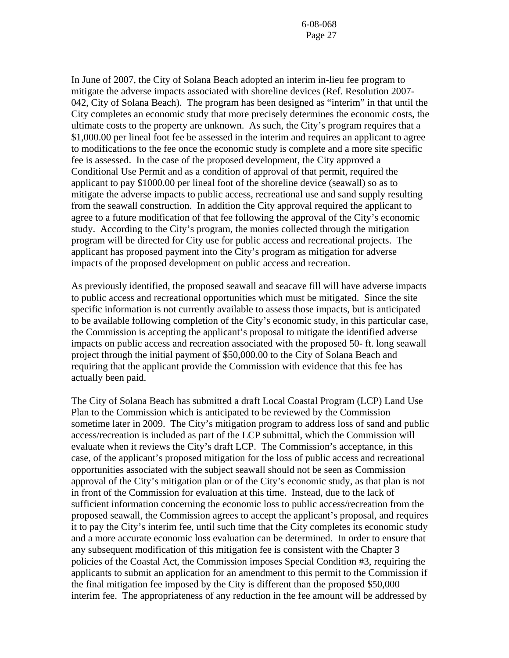In June of 2007, the City of Solana Beach adopted an interim in-lieu fee program to mitigate the adverse impacts associated with shoreline devices (Ref. Resolution 2007- 042, City of Solana Beach). The program has been designed as "interim" in that until the City completes an economic study that more precisely determines the economic costs, the ultimate costs to the property are unknown. As such, the City's program requires that a \$1,000.00 per lineal foot fee be assessed in the interim and requires an applicant to agree to modifications to the fee once the economic study is complete and a more site specific fee is assessed. In the case of the proposed development, the City approved a Conditional Use Permit and as a condition of approval of that permit, required the applicant to pay \$1000.00 per lineal foot of the shoreline device (seawall) so as to mitigate the adverse impacts to public access, recreational use and sand supply resulting from the seawall construction. In addition the City approval required the applicant to agree to a future modification of that fee following the approval of the City's economic study. According to the City's program, the monies collected through the mitigation program will be directed for City use for public access and recreational projects. The applicant has proposed payment into the City's program as mitigation for adverse impacts of the proposed development on public access and recreation.

As previously identified, the proposed seawall and seacave fill will have adverse impacts to public access and recreational opportunities which must be mitigated. Since the site specific information is not currently available to assess those impacts, but is anticipated to be available following completion of the City's economic study, in this particular case, the Commission is accepting the applicant's proposal to mitigate the identified adverse impacts on public access and recreation associated with the proposed 50- ft. long seawall project through the initial payment of \$50,000.00 to the City of Solana Beach and requiring that the applicant provide the Commission with evidence that this fee has actually been paid.

The City of Solana Beach has submitted a draft Local Coastal Program (LCP) Land Use Plan to the Commission which is anticipated to be reviewed by the Commission sometime later in 2009. The City's mitigation program to address loss of sand and public access/recreation is included as part of the LCP submittal, which the Commission will evaluate when it reviews the City's draft LCP. The Commission's acceptance, in this case, of the applicant's proposed mitigation for the loss of public access and recreational opportunities associated with the subject seawall should not be seen as Commission approval of the City's mitigation plan or of the City's economic study, as that plan is not in front of the Commission for evaluation at this time. Instead, due to the lack of sufficient information concerning the economic loss to public access/recreation from the proposed seawall, the Commission agrees to accept the applicant's proposal, and requires it to pay the City's interim fee, until such time that the City completes its economic study and a more accurate economic loss evaluation can be determined. In order to ensure that any subsequent modification of this mitigation fee is consistent with the Chapter 3 policies of the Coastal Act, the Commission imposes Special Condition #3, requiring the applicants to submit an application for an amendment to this permit to the Commission if the final mitigation fee imposed by the City is different than the proposed \$50,000 interim fee. The appropriateness of any reduction in the fee amount will be addressed by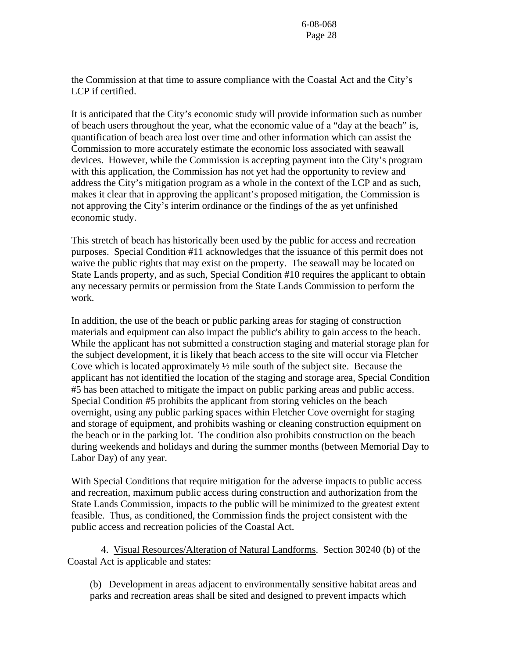the Commission at that time to assure compliance with the Coastal Act and the City's LCP if certified.

It is anticipated that the City's economic study will provide information such as number of beach users throughout the year, what the economic value of a "day at the beach" is, quantification of beach area lost over time and other information which can assist the Commission to more accurately estimate the economic loss associated with seawall devices. However, while the Commission is accepting payment into the City's program with this application, the Commission has not yet had the opportunity to review and address the City's mitigation program as a whole in the context of the LCP and as such, makes it clear that in approving the applicant's proposed mitigation, the Commission is not approving the City's interim ordinance or the findings of the as yet unfinished economic study.

This stretch of beach has historically been used by the public for access and recreation purposes. Special Condition #11 acknowledges that the issuance of this permit does not waive the public rights that may exist on the property. The seawall may be located on State Lands property, and as such, Special Condition #10 requires the applicant to obtain any necessary permits or permission from the State Lands Commission to perform the work.

In addition, the use of the beach or public parking areas for staging of construction materials and equipment can also impact the public's ability to gain access to the beach. While the applicant has not submitted a construction staging and material storage plan for the subject development, it is likely that beach access to the site will occur via Fletcher Cove which is located approximately ½ mile south of the subject site. Because the applicant has not identified the location of the staging and storage area, Special Condition #5 has been attached to mitigate the impact on public parking areas and public access. Special Condition #5 prohibits the applicant from storing vehicles on the beach overnight, using any public parking spaces within Fletcher Cove overnight for staging and storage of equipment, and prohibits washing or cleaning construction equipment on the beach or in the parking lot. The condition also prohibits construction on the beach during weekends and holidays and during the summer months (between Memorial Day to Labor Day) of any year.

With Special Conditions that require mitigation for the adverse impacts to public access and recreation, maximum public access during construction and authorization from the State Lands Commission, impacts to the public will be minimized to the greatest extent feasible. Thus, as conditioned, the Commission finds the project consistent with the public access and recreation policies of the Coastal Act.

 4. Visual Resources/Alteration of Natural Landforms. Section 30240 (b) of the Coastal Act is applicable and states:

(b) Development in areas adjacent to environmentally sensitive habitat areas and parks and recreation areas shall be sited and designed to prevent impacts which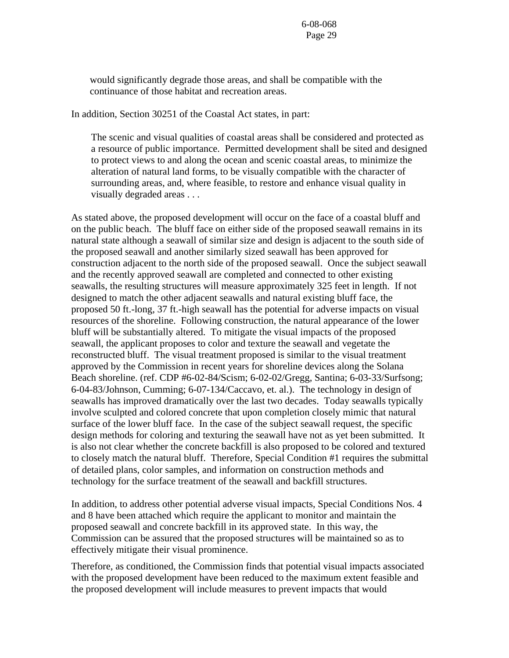would significantly degrade those areas, and shall be compatible with the continuance of those habitat and recreation areas.

In addition, Section 30251 of the Coastal Act states, in part:

 The scenic and visual qualities of coastal areas shall be considered and protected as a resource of public importance. Permitted development shall be sited and designed to protect views to and along the ocean and scenic coastal areas, to minimize the alteration of natural land forms, to be visually compatible with the character of surrounding areas, and, where feasible, to restore and enhance visual quality in visually degraded areas . . .

As stated above, the proposed development will occur on the face of a coastal bluff and on the public beach. The bluff face on either side of the proposed seawall remains in its natural state although a seawall of similar size and design is adjacent to the south side of the proposed seawall and another similarly sized seawall has been approved for construction adjacent to the north side of the proposed seawall. Once the subject seawall and the recently approved seawall are completed and connected to other existing seawalls, the resulting structures will measure approximately 325 feet in length. If not designed to match the other adjacent seawalls and natural existing bluff face, the proposed 50 ft.-long, 37 ft.-high seawall has the potential for adverse impacts on visual resources of the shoreline. Following construction, the natural appearance of the lower bluff will be substantially altered. To mitigate the visual impacts of the proposed seawall, the applicant proposes to color and texture the seawall and vegetate the reconstructed bluff. The visual treatment proposed is similar to the visual treatment approved by the Commission in recent years for shoreline devices along the Solana Beach shoreline. (ref. CDP #6-02-84/Scism; 6-02-02/Gregg, Santina; 6-03-33/Surfsong; 6-04-83/Johnson, Cumming; 6-07-134/Caccavo, et. al.). The technology in design of seawalls has improved dramatically over the last two decades. Today seawalls typically involve sculpted and colored concrete that upon completion closely mimic that natural surface of the lower bluff face. In the case of the subject seawall request, the specific design methods for coloring and texturing the seawall have not as yet been submitted. It is also not clear whether the concrete backfill is also proposed to be colored and textured to closely match the natural bluff. Therefore, Special Condition #1 requires the submittal of detailed plans, color samples, and information on construction methods and technology for the surface treatment of the seawall and backfill structures.

In addition, to address other potential adverse visual impacts, Special Conditions Nos. 4 and 8 have been attached which require the applicant to monitor and maintain the proposed seawall and concrete backfill in its approved state. In this way, the Commission can be assured that the proposed structures will be maintained so as to effectively mitigate their visual prominence.

Therefore, as conditioned, the Commission finds that potential visual impacts associated with the proposed development have been reduced to the maximum extent feasible and the proposed development will include measures to prevent impacts that would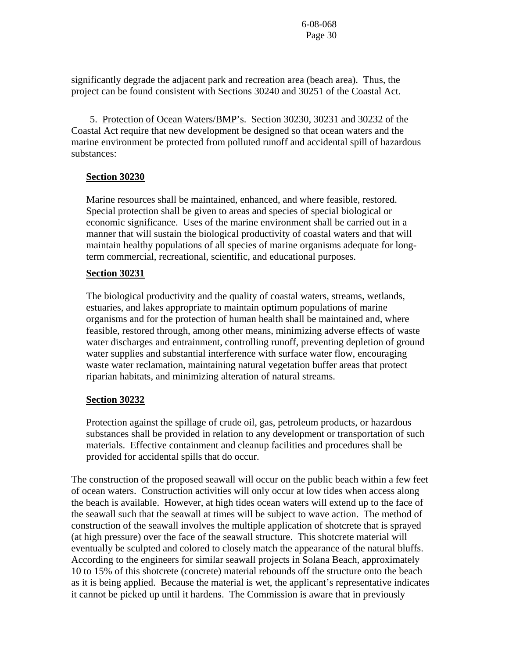significantly degrade the adjacent park and recreation area (beach area). Thus, the project can be found consistent with Sections 30240 and 30251 of the Coastal Act.

5. Protection of Ocean Waters/BMP's. Section 30230, 30231 and 30232 of the Coastal Act require that new development be designed so that ocean waters and the marine environment be protected from polluted runoff and accidental spill of hazardous substances:

#### **Section 30230**

Marine resources shall be maintained, enhanced, and where feasible, restored. Special protection shall be given to areas and species of special biological or economic significance. Uses of the marine environment shall be carried out in a manner that will sustain the biological productivity of coastal waters and that will maintain healthy populations of all species of marine organisms adequate for longterm commercial, recreational, scientific, and educational purposes.

#### **Section 30231**

The biological productivity and the quality of coastal waters, streams, wetlands, estuaries, and lakes appropriate to maintain optimum populations of marine organisms and for the protection of human health shall be maintained and, where feasible, restored through, among other means, minimizing adverse effects of waste water discharges and entrainment, controlling runoff, preventing depletion of ground water supplies and substantial interference with surface water flow, encouraging waste water reclamation, maintaining natural vegetation buffer areas that protect riparian habitats, and minimizing alteration of natural streams.

#### **Section 30232**

Protection against the spillage of crude oil, gas, petroleum products, or hazardous substances shall be provided in relation to any development or transportation of such materials. Effective containment and cleanup facilities and procedures shall be provided for accidental spills that do occur.

The construction of the proposed seawall will occur on the public beach within a few feet of ocean waters. Construction activities will only occur at low tides when access along the beach is available. However, at high tides ocean waters will extend up to the face of the seawall such that the seawall at times will be subject to wave action. The method of construction of the seawall involves the multiple application of shotcrete that is sprayed (at high pressure) over the face of the seawall structure. This shotcrete material will eventually be sculpted and colored to closely match the appearance of the natural bluffs. According to the engineers for similar seawall projects in Solana Beach, approximately 10 to 15% of this shotcrete (concrete) material rebounds off the structure onto the beach as it is being applied. Because the material is wet, the applicant's representative indicates it cannot be picked up until it hardens. The Commission is aware that in previously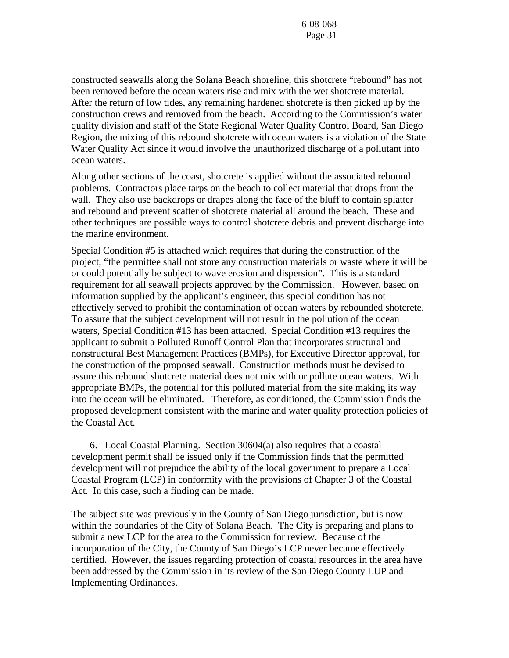constructed seawalls along the Solana Beach shoreline, this shotcrete "rebound" has not been removed before the ocean waters rise and mix with the wet shotcrete material. After the return of low tides, any remaining hardened shotcrete is then picked up by the construction crews and removed from the beach. According to the Commission's water quality division and staff of the State Regional Water Quality Control Board, San Diego Region, the mixing of this rebound shotcrete with ocean waters is a violation of the State Water Quality Act since it would involve the unauthorized discharge of a pollutant into ocean waters.

Along other sections of the coast, shotcrete is applied without the associated rebound problems. Contractors place tarps on the beach to collect material that drops from the wall. They also use backdrops or drapes along the face of the bluff to contain splatter and rebound and prevent scatter of shotcrete material all around the beach. These and other techniques are possible ways to control shotcrete debris and prevent discharge into the marine environment.

Special Condition #5 is attached which requires that during the construction of the project, "the permittee shall not store any construction materials or waste where it will be or could potentially be subject to wave erosion and dispersion". This is a standard requirement for all seawall projects approved by the Commission. However, based on information supplied by the applicant's engineer, this special condition has not effectively served to prohibit the contamination of ocean waters by rebounded shotcrete. To assure that the subject development will not result in the pollution of the ocean waters, Special Condition #13 has been attached. Special Condition #13 requires the applicant to submit a Polluted Runoff Control Plan that incorporates structural and nonstructural Best Management Practices (BMPs), for Executive Director approval, for the construction of the proposed seawall. Construction methods must be devised to assure this rebound shotcrete material does not mix with or pollute ocean waters. With appropriate BMPs, the potential for this polluted material from the site making its way into the ocean will be eliminated. Therefore, as conditioned, the Commission finds the proposed development consistent with the marine and water quality protection policies of the Coastal Act.

 6. Local Coastal Planning. Section 30604(a) also requires that a coastal development permit shall be issued only if the Commission finds that the permitted development will not prejudice the ability of the local government to prepare a Local Coastal Program (LCP) in conformity with the provisions of Chapter 3 of the Coastal Act. In this case, such a finding can be made.

The subject site was previously in the County of San Diego jurisdiction, but is now within the boundaries of the City of Solana Beach. The City is preparing and plans to submit a new LCP for the area to the Commission for review. Because of the incorporation of the City, the County of San Diego's LCP never became effectively certified. However, the issues regarding protection of coastal resources in the area have been addressed by the Commission in its review of the San Diego County LUP and Implementing Ordinances.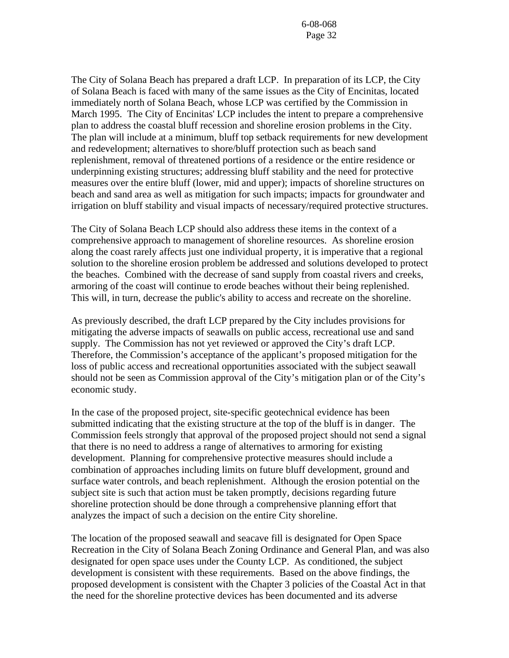The City of Solana Beach has prepared a draft LCP. In preparation of its LCP, the City of Solana Beach is faced with many of the same issues as the City of Encinitas, located immediately north of Solana Beach, whose LCP was certified by the Commission in March 1995. The City of Encinitas' LCP includes the intent to prepare a comprehensive plan to address the coastal bluff recession and shoreline erosion problems in the City. The plan will include at a minimum, bluff top setback requirements for new development and redevelopment; alternatives to shore/bluff protection such as beach sand replenishment, removal of threatened portions of a residence or the entire residence or underpinning existing structures; addressing bluff stability and the need for protective measures over the entire bluff (lower, mid and upper); impacts of shoreline structures on beach and sand area as well as mitigation for such impacts; impacts for groundwater and irrigation on bluff stability and visual impacts of necessary/required protective structures.

The City of Solana Beach LCP should also address these items in the context of a comprehensive approach to management of shoreline resources. As shoreline erosion along the coast rarely affects just one individual property, it is imperative that a regional solution to the shoreline erosion problem be addressed and solutions developed to protect the beaches. Combined with the decrease of sand supply from coastal rivers and creeks, armoring of the coast will continue to erode beaches without their being replenished. This will, in turn, decrease the public's ability to access and recreate on the shoreline.

As previously described, the draft LCP prepared by the City includes provisions for mitigating the adverse impacts of seawalls on public access, recreational use and sand supply. The Commission has not yet reviewed or approved the City's draft LCP. Therefore, the Commission's acceptance of the applicant's proposed mitigation for the loss of public access and recreational opportunities associated with the subject seawall should not be seen as Commission approval of the City's mitigation plan or of the City's economic study.

In the case of the proposed project, site-specific geotechnical evidence has been submitted indicating that the existing structure at the top of the bluff is in danger. The Commission feels strongly that approval of the proposed project should not send a signal that there is no need to address a range of alternatives to armoring for existing development. Planning for comprehensive protective measures should include a combination of approaches including limits on future bluff development, ground and surface water controls, and beach replenishment. Although the erosion potential on the subject site is such that action must be taken promptly, decisions regarding future shoreline protection should be done through a comprehensive planning effort that analyzes the impact of such a decision on the entire City shoreline.

The location of the proposed seawall and seacave fill is designated for Open Space Recreation in the City of Solana Beach Zoning Ordinance and General Plan, and was also designated for open space uses under the County LCP. As conditioned, the subject development is consistent with these requirements. Based on the above findings, the proposed development is consistent with the Chapter 3 policies of the Coastal Act in that the need for the shoreline protective devices has been documented and its adverse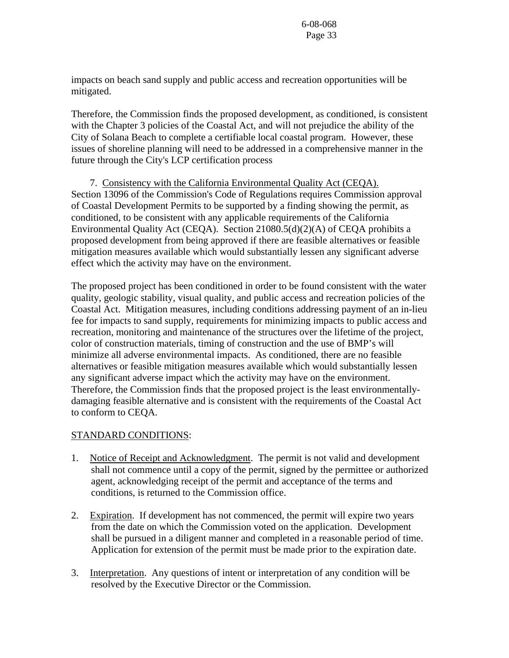impacts on beach sand supply and public access and recreation opportunities will be mitigated.

Therefore, the Commission finds the proposed development, as conditioned, is consistent with the Chapter 3 policies of the Coastal Act, and will not prejudice the ability of the City of Solana Beach to complete a certifiable local coastal program. However, these issues of shoreline planning will need to be addressed in a comprehensive manner in the future through the City's LCP certification process

 7. Consistency with the California Environmental Quality Act (CEQA). Section 13096 of the Commission's Code of Regulations requires Commission approval of Coastal Development Permits to be supported by a finding showing the permit, as conditioned, to be consistent with any applicable requirements of the California Environmental Quality Act (CEQA). Section 21080.5(d)(2)(A) of CEQA prohibits a proposed development from being approved if there are feasible alternatives or feasible mitigation measures available which would substantially lessen any significant adverse effect which the activity may have on the environment.

The proposed project has been conditioned in order to be found consistent with the water quality, geologic stability, visual quality, and public access and recreation policies of the Coastal Act. Mitigation measures, including conditions addressing payment of an in-lieu fee for impacts to sand supply, requirements for minimizing impacts to public access and recreation, monitoring and maintenance of the structures over the lifetime of the project, color of construction materials, timing of construction and the use of BMP's will minimize all adverse environmental impacts. As conditioned, there are no feasible alternatives or feasible mitigation measures available which would substantially lessen any significant adverse impact which the activity may have on the environment. Therefore, the Commission finds that the proposed project is the least environmentallydamaging feasible alternative and is consistent with the requirements of the Coastal Act to conform to CEQA.

#### STANDARD CONDITIONS:

- 1. Notice of Receipt and Acknowledgment. The permit is not valid and development shall not commence until a copy of the permit, signed by the permittee or authorized agent, acknowledging receipt of the permit and acceptance of the terms and conditions, is returned to the Commission office.
- 2. Expiration. If development has not commenced, the permit will expire two years from the date on which the Commission voted on the application. Development shall be pursued in a diligent manner and completed in a reasonable period of time. Application for extension of the permit must be made prior to the expiration date.
- 3. Interpretation. Any questions of intent or interpretation of any condition will be resolved by the Executive Director or the Commission.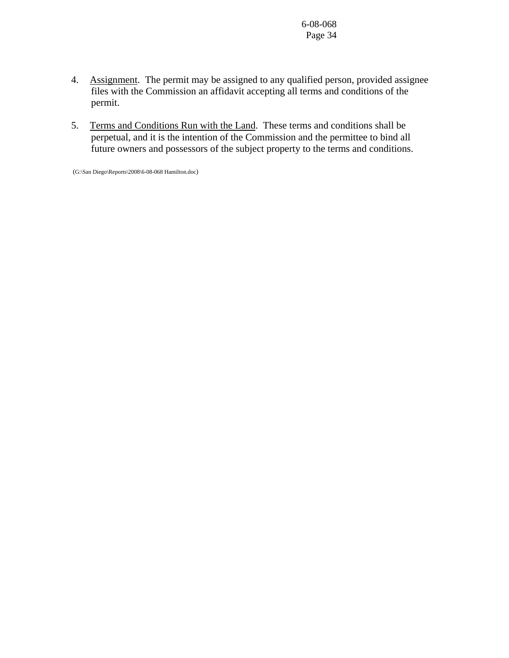- 4. Assignment. The permit may be assigned to any qualified person, provided assignee files with the Commission an affidavit accepting all terms and conditions of the permit.
- 5. Terms and Conditions Run with the Land. These terms and conditions shall be perpetual, and it is the intention of the Commission and the permittee to bind all future owners and possessors of the subject property to the terms and conditions.

(G:\San Diego\Reports\2008\6-08-068 Hamilton.doc)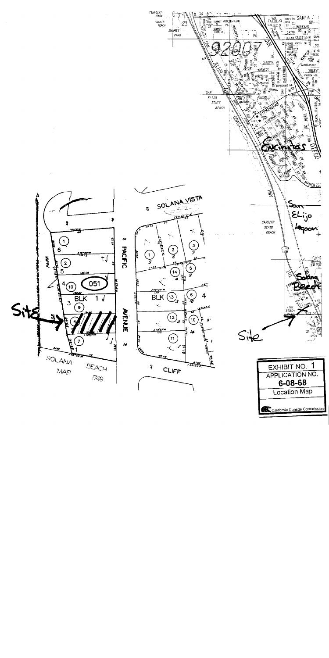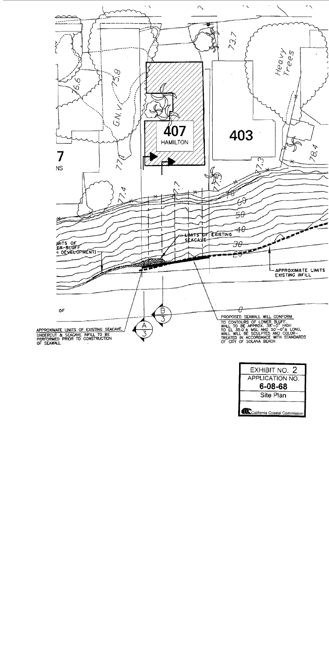

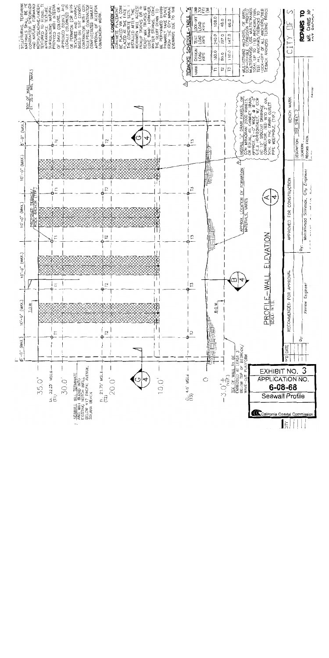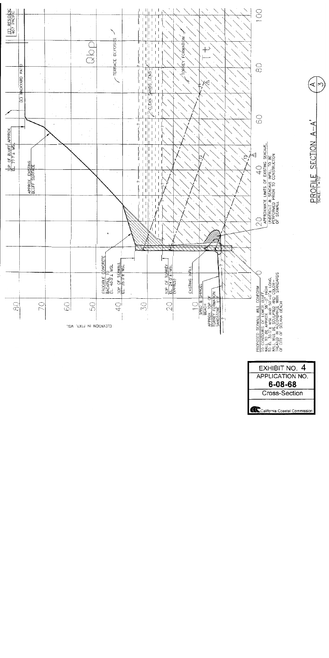

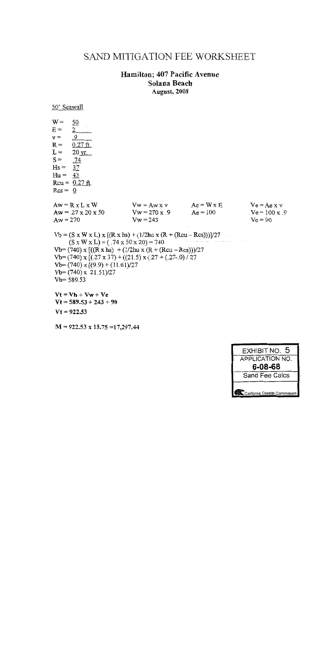# SAND MITIGATION FEE WORKSHEET

# Hamilton; 407 Pacific Avenue Solana Beach August, 2008

#### 50' Seawall

 $W =$ 50  $E =$  $2<sub>1</sub>$  $v =$ .9  $0.27 \text{ ft.}$  $R =$  $L =$  $20 \text{ yr}$ .  $S =$  $.74$  $Hs = 37$  $Hu = 43$  $Rcu = 0.27 ft.$  $Res = 0$  $Aw = R x L x W$  $Vw = Awx v$  $Ae = W \times E$  $Ve = Ae \times v$  $Aw = .27 \times 20 \times 50$  $Vw = 270 x .9$  $Ae = 100$  $Ve = 100 \times .9$  $Aw = 270$  $Vw = 243$  $Ve = 90$  $Vb = (S x W x L) x [(R x hs) + (1/2hu x (R + (Rcu - Rcs)))]/27$  $(S x W x L) = (.74 x 50 x 20) = 740$  $Vb = (740) \times [(R \times bs) + (1/2hu \times (R + (Rcu - Rcs)))/27]$  $Vb = (740)$  x  $[(.27 \times 37) + ((21.5) \times (.27 + (.27-0) / 27$  $Vb = (740) \times [(9.9) + (11.61)/27]$  $Vb = (740) \times 21.51/27$  $Vb = 589.53$  $Vt = Vb + Vw + Ve$  $Vt = 589.53 + 243 + 90$  $Vt = 922.53$ 

 $M = 922.53 \times 18.75 = 17,297.44$ 

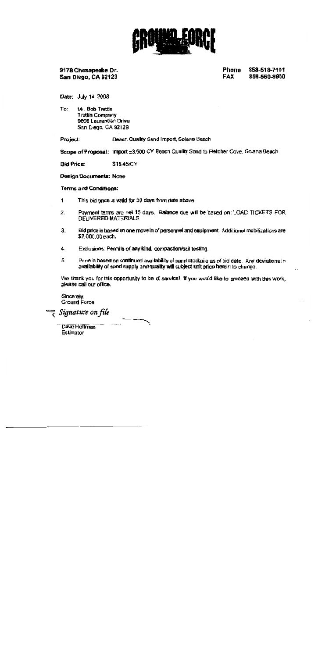

9178 Chesapeake Dr. San Diego, CA 92123 **Phone** 858-518-7191 **FAX** 858-560-8960

Date: July 14, 2008

To: Mr. Bob Trettin **Trettin Company** 9606 Laurentian Orive San Dego, CA 92129

Project: Beach Quality Sand Import, Solana Beach

Scope of Proposal: Import ±3.500 CY Beach Quality Sand to Fletcher Cove. Solana Beach

**Bid Price:** S19.45/CY

Design Documents: Note

**Terms and Conditions:** 

- $\mathbf{1}$ . This bid price is valid for 30 days from date above.
- 2. Payment terms are net 15 days. Balance due will be based on: LOAD TICKETS FOR **DELIVERED MATERIALS**
- $3.$ Bid price is based on one move in o' personnel and equipment. Additional mobilizations are \$2,000.00 each.
- 4. Exclusions: Permits of any kind, compaction/soil testing.
- 5. Price is based on continued availability of sand stockpile as of bid date. Any deviations in availability of sand supply and quality will subject unit price herein to chance.

We thank you for this opportunity to be of service! If you would like to proceed with this work. please call our office.

Since elv. **Ground Force** 

Signature on file

Dave Hoffman Estimator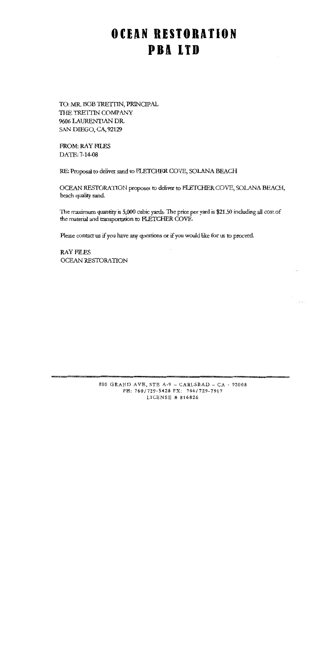# OCEAN RESTORATION **PBALTD**

TO: MR. BOB TRETTIN, PRINCIPAL THE TRETTIN COMPANY 9606 LAURENTIAN DR. SAN DIEGO, CA, 92129

**FROM: RAY FILES** DATE: 7-14-08

RE: Proposal to deliver sand to FLETCHER COVE, SOLANA BEACH

OCEAN RESTORATION proposes to deliver to FLETCHER COVE, SOLANA BEACH, beach quality sand.

The maximum quantity is 5,000 cubic yards. The price per yard is \$21.50 including all cost of the material and transportation to FLETCHER COVE.

Please contact us if you have any questions or if you would like for us to proceed.

**RAY FILES** OCEAN RESTORATION